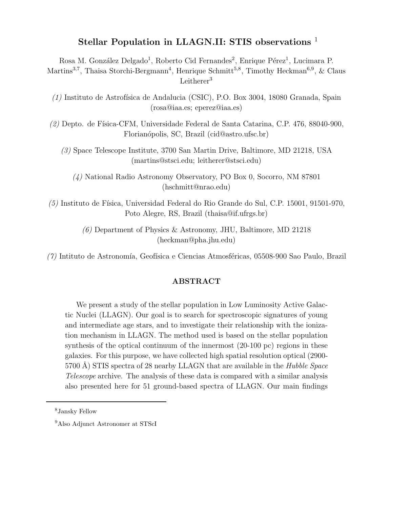# Stellar Population in LLAGN.II: STIS observations <sup>1</sup>

Rosa M. González Delgado<sup>1</sup>, Roberto Cid Fernandes<sup>2</sup>, Enrique Pérez<sup>1</sup>, Lucimara P. Martins<sup>3,7</sup>, Thaisa Storchi-Bergmann<sup>4</sup>, Henrique Schmitt<sup>5,8</sup>, Timothy Heckman<sup>6,9</sup>, & Claus Leitherer $3$ 

 $(1)$  Instituto de Astrofísica de Andalucia (CSIC), P.O. Box 3004, 18080 Granada, Spain (rosa@iaa.es; eperez@iaa.es)

(2) Depto. de F´ısica-CFM, Universidade Federal de Santa Catarina, C.P. 476, 88040-900, Florian´opolis, SC, Brazil (cid@astro.ufsc.br)

(3) Space Telescope Institute, 3700 San Martin Drive, Baltimore, MD 21218, USA (martins@stsci.edu; leitherer@stsci.edu)

(4) National Radio Astronomy Observatory, PO Box 0, Socorro, NM 87801 (hschmitt@nrao.edu)

 $(5)$  Instituto de Física, Universidad Federal do Rio Grande do Sul, C.P. 15001, 91501-970, Poto Alegre, RS, Brazil (thaisa@if.ufrgs.br)

> (6) Department of Physics & Astronomy, JHU, Baltimore, MD 21218 (heckman@pha.jhu.edu)

 $(7)$  Intituto de Astronomía, Geofísica e Ciencias Atmosféricas, 05508-900 Sao Paulo, Brazil

## ABSTRACT

We present a study of the stellar population in Low Luminosity Active Galactic Nuclei (LLAGN). Our goal is to search for spectroscopic signatures of young and intermediate age stars, and to investigate their relationship with the ionization mechanism in LLAGN. The method used is based on the stellar population synthesis of the optical continuum of the innermost (20-100 pc) regions in these galaxies. For this purpose, we have collected high spatial resolution optical (2900-  $5700$  Å) STIS spectra of 28 nearby LLAGN that are available in the *Hubble Space* Telescope archive. The analysis of these data is compared with a similar analysis also presented here for 51 ground-based spectra of LLAGN. Our main findings

<sup>8</sup>Jansky Fellow

<sup>&</sup>lt;sup>9</sup>Also Adjunct Astronomer at STScI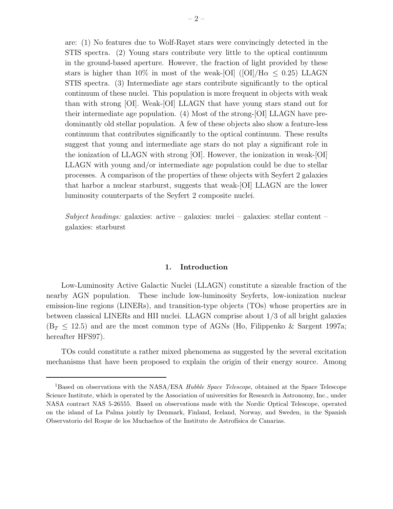are: (1) No features due to Wolf-Rayet stars were convincingly detected in the STIS spectra. (2) Young stars contribute very little to the optical continuum in the ground-based aperture. However, the fraction of light provided by these stars is higher than  $10\%$  in most of the weak-[OI] ([OI]/H $\alpha \leq 0.25$ ) LLAGN STIS spectra. (3) Intermediate age stars contribute significantly to the optical continuum of these nuclei. This population is more frequent in objects with weak than with strong [OI]. Weak-[OI] LLAGN that have young stars stand out for their intermediate age population. (4) Most of the strong-[OI] LLAGN have predominantly old stellar population. A few of these objects also show a feature-less continuum that contributes significantly to the optical continuum. These results suggest that young and intermediate age stars do not play a significant role in the ionization of LLAGN with strong [OI]. However, the ionization in weak-[OI] LLAGN with young and/or intermediate age population could be due to stellar processes. A comparison of the properties of these objects with Seyfert 2 galaxies that harbor a nuclear starburst, suggests that weak-[OI] LLAGN are the lower luminosity counterparts of the Seyfert 2 composite nuclei.

Subject headings: galaxies: active – galaxies: nuclei – galaxies: stellar content – galaxies: starburst

## 1. Introduction

Low-Luminosity Active Galactic Nuclei (LLAGN) constitute a sizeable fraction of the nearby AGN population. These include low-luminosity Seyferts, low-ionization nuclear emission-line regions (LINERs), and transition-type objects (TOs) whose properties are in between classical LINERs and HII nuclei. LLAGN comprise about 1/3 of all bright galaxies  $(B_T \leq 12.5)$  and are the most common type of AGNs (Ho, Filippenko & Sargent 1997a; hereafter HFS97).

TOs could constitute a rather mixed phenomena as suggested by the several excitation mechanisms that have been proposed to explain the origin of their energy source. Among

<sup>&</sup>lt;sup>1</sup>Based on observations with the NASA/ESA *Hubble Space Telescope*, obtained at the Space Telescope Science Institute, which is operated by the Association of universities for Research in Astronomy, Inc., under NASA contract NAS 5-26555. Based on observations made with the Nordic Optical Telescope, operated on the island of La Palma jointly by Denmark, Finland, Iceland, Norway, and Sweden, in the Spanish Observatorio del Roque de los Muchachos of the Instituto de Astrofísica de Canarias.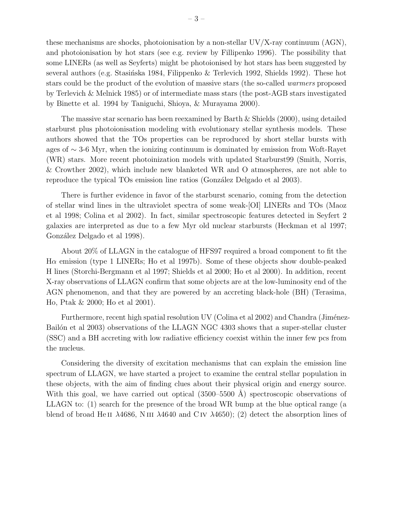these mechanisms are shocks, photoionisation by a non-stellar  $UV/X$ -ray continuum  $(AGN)$ , and photoionisation by hot stars (see e.g. review by Fillipenko 1996). The possibility that some LINERs (as well as Seyferts) might be photoionised by hot stars has been suggested by several authors (e.g. Stasińska 1984, Filippenko & Terlevich 1992, Shields 1992). These hot stars could be the product of the evolution of massive stars (the so-called warmers proposed by Terlevich & Melnick 1985) or of intermediate mass stars (the post-AGB stars investigated by Binette et al. 1994 by Taniguchi, Shioya, & Murayama 2000).

The massive star scenario has been reexamined by Barth & Shields (2000), using detailed starburst plus photoionisation modeling with evolutionary stellar synthesis models. These authors showed that the TOs properties can be reproduced by short stellar bursts with ages of ∼ 3-6 Myr, when the ionizing continuum is dominated by emission from Woft-Rayet (WR) stars. More recent photoinization models with updated Starburst99 (Smith, Norris, & Crowther 2002), which include new blanketed WR and O atmospheres, are not able to reproduce the typical TOs emission line ratios (González Delgado et al 2003).

There is further evidence in favor of the starburst scenario, coming from the detection of stellar wind lines in the ultraviolet spectra of some weak-[OI] LINERs and TOs (Maoz et al 1998; Colina et al 2002). In fact, similar spectroscopic features detected in Seyfert 2 galaxies are interpreted as due to a few Myr old nuclear starbursts (Heckman et al 1997; González Delgado et al 1998).

About 20% of LLAGN in the catalogue of HFS97 required a broad component to fit the H $\alpha$  emission (type 1 LINERs; Ho et al 1997b). Some of these objects show double-peaked H lines (Storchi-Bergmann et al 1997; Shields et al 2000; Ho et al 2000). In addition, recent X-ray observations of LLAGN confirm that some objects are at the low-luminosity end of the AGN phenomenon, and that they are powered by an accreting black-hole (BH) (Terasima, Ho, Ptak & 2000; Ho et al 2001).

Furthermore, recent high spatial resolution UV (Colina et al 2002) and Chandra (Jiménez-Bailón et al 2003) observations of the LLAGN NGC 4303 shows that a super-stellar cluster (SSC) and a BH accreting with low radiative efficiency coexist within the inner few pcs from the nucleus.

Considering the diversity of excitation mechanisms that can explain the emission line spectrum of LLAGN, we have started a project to examine the central stellar population in these objects, with the aim of finding clues about their physical origin and energy source. With this goal, we have carried out optical  $(3500-5500 \text{ Å})$  spectroscopic observations of LLAGN to: (1) search for the presence of the broad WR bump at the blue optical range (a blend of broad He II  $\lambda$ 4686, N III  $\lambda$ 4640 and C IV  $\lambda$ 4650); (2) detect the absorption lines of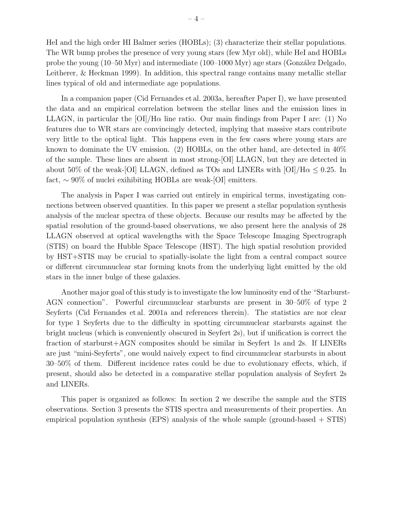HeI and the high order HI Balmer series (HOBLs); (3) characterize their stellar populations. The WR bump probes the presence of very young stars (few Myr old), while HeI and HOBLs probe the young  $(10–50 \text{ Myr})$  and intermediate  $(100–1000 \text{ Myr})$  age stars  $(González Delgado,$ Leitherer, & Heckman 1999). In addition, this spectral range contains many metallic stellar lines typical of old and intermediate age populations.

In a companion paper (Cid Fernandes et al. 2003a, hereafter Paper I), we have presented the data and an empirical correlation between the stellar lines and the emission lines in LLAGN, in particular the  $\text{OI}/\text{H}\alpha$  line ratio. Our main findings from Paper I are: (1) No features due to WR stars are convincingly detected, implying that massive stars contribute very little to the optical light. This happens even in the few cases where young stars are known to dominate the UV emission. (2) HOBLs, on the other hand, are detected in 40% of the sample. These lines are absent in most strong-[OI] LLAGN, but they are detected in about 50% of the weak-[OI] LLAGN, defined as TOs and LINERs with  $[OI]/H\alpha \leq 0.25$ . In fact, ∼ 90% of nuclei exihibiting HOBLs are weak-[OI] emitters.

The analysis in Paper I was carried out entirely in empirical terms, investigating connections between observed quantities. In this paper we present a stellar population synthesis analysis of the nuclear spectra of these objects. Because our results may be affected by the spatial resolution of the ground-based observations, we also present here the analysis of 28 LLAGN observed at optical wavelengths with the Space Telescope Imaging Spectrograph (STIS) on board the Hubble Space Telescope (HST). The high spatial resolution provided by HST+STIS may be crucial to spatially-isolate the light from a central compact source or different circumnuclear star forming knots from the underlying light emitted by the old stars in the inner bulge of these galaxies.

Another major goal of this study is to investigate the low luminosity end of the "Starburst-AGN connection". Powerful circumnuclear starbursts are present in 30–50% of type 2 Seyferts (Cid Fernandes et al. 2001a and references therein). The statistics are nor clear for type 1 Seyferts due to the difficulty in spotting circumnuclear starbursts against the bright nucleus (which is conveniently obscured in Seyfert 2s), but if unification is correct the fraction of starburst+AGN composites should be similar in Seyfert 1s and 2s. If LINERs are just "mini-Seyferts", one would naively expect to find circumnuclear starbursts in about 30–50% of them. Different incidence rates could be due to evolutionary effects, which, if present, should also be detected in a comparative stellar population analysis of Seyfert 2s and LINERs.

This paper is organized as follows: In section 2 we describe the sample and the STIS observations. Section 3 presents the STIS spectra and measurements of their properties. An empirical population synthesis (EPS) analysis of the whole sample (ground-based + STIS)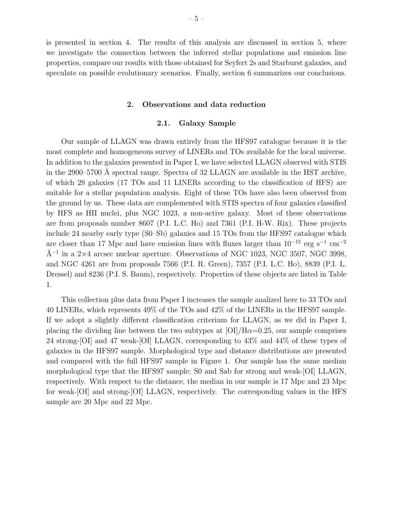is presented in section 4. The results of this analysis are discussed in section 5, where we investigate the connection between the inferred stellar populations and emission line properties, compare our results with those obtained for Seyfert 2s and Starburst galaxies, and speculate on possible evolutionary scenarios. Finally, section 6 summarizes our conclusions.

## 2. Observations and data reduction

## 2.1. Galaxy Sample

Our sample of LLAGN was drawn entirely from the HFS97 catalogue because it is the most complete and homogeneous survey of LINERs and TOs available for the local universe. In addition to the galaxies presented in Paper I, we have selected LLAGN observed with STIS in the  $2900-5700$  Å spectral range. Spectra of 32 LLAGN are available in the HST archive, of which 28 galaxies (17 TOs and 11 LINERs according to the classification of HFS) are suitable for a stellar population analysis. Eight of these TOs have also been observed from the ground by us. These data are complemented with STIS spectra of four galaxies classified by HFS as HII nuclei, plus NGC 1023, a non-active galaxy. Most of these observations are from proposals number 8607 (P.I. L.C. Ho) and 7361 (P.I. H-W. Rix). These projects include 24 nearby early type (S0–Sb) galaxies and 15 TOs from the HFS97 catalogue which are closer than 17 Mpc and have emission lines with fluxes larger than  $10^{-15}$  erg s<sup>-1</sup> cm<sup>-2</sup>  $\AA^{-1}$  in a 2×4 arcsec nuclear aperture. Observations of NGC 1023, NGC 3507, NGC 3998, and NGC 4261 are from proposals 7566 (P.I. R. Green), 7357 (P.I. L.C. Ho), 8839 (P.I. L. Dressel) and 8236 (P.I. S. Baum), respectively. Properties of these objects are listed in Table 1.

This collection plus data from Paper I increases the sample analized here to 33 TOs and 40 LINERs, which represents 49% of the TOs and 42% of the LINERs in the HFS97 sample. If we adopt a slightly different classification criterium for LLAGN, as we did in Paper I, placing the dividing line between the two subtypes at  $[OI]/H\alpha=0.25$ , our sample comprises 24 strong-[OI] and 47 weak-[OI] LLAGN, corresponding to 43% and 44% of these types of galaxies in the HFS97 sample. Morphological type and distance distributions are presented and compared with the full HFS97 sample in Figure 1. Our sample has the same median morphological type that the HFS97 sample; S0 and Sab for strong and weak-[OI] LLAGN, respectively. With respect to the distance, the median in our sample is 17 Mpc and 23 Mpc for weak-[OI] and strong-[OI] LLAGN, respectively. The corresponding values in the HFS sample are 20 Mpc and 22 Mpc.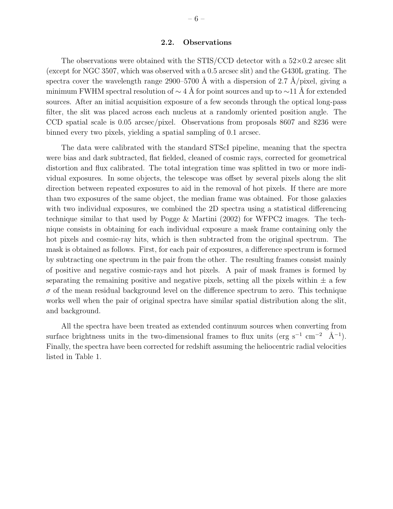The observations were obtained with the STIS/CCD detector with a  $52\times0.2$  arcsec slit (except for NGC 3507, which was observed with a 0.5 arcsec slit) and the G430L grating. The spectra cover the wavelength range 2900–5700 Å with a dispersion of 2.7 Å/pixel, giving a minimum FWHM spectral resolution of  $\sim 4$  Å for point sources and up to  $\sim$ 11 Å for extended sources. After an initial acquisition exposure of a few seconds through the optical long-pass filter, the slit was placed across each nucleus at a randomly oriented position angle. The CCD spatial scale is 0.05 arcsec/pixel. Observations from proposals 8607 and 8236 were binned every two pixels, yielding a spatial sampling of 0.1 arcsec.

The data were calibrated with the standard STScI pipeline, meaning that the spectra were bias and dark subtracted, flat fielded, cleaned of cosmic rays, corrected for geometrical distortion and flux calibrated. The total integration time was splitted in two or more individual exposures. In some objects, the telescope was offset by several pixels along the slit direction between repeated exposures to aid in the removal of hot pixels. If there are more than two exposures of the same object, the median frame was obtained. For those galaxies with two individual exposures, we combined the 2D spectra using a statistical differencing technique similar to that used by Pogge & Martini (2002) for WFPC2 images. The technique consists in obtaining for each individual exposure a mask frame containing only the hot pixels and cosmic-ray hits, which is then subtracted from the original spectrum. The mask is obtained as follows. First, for each pair of exposures, a difference spectrum is formed by subtracting one spectrum in the pair from the other. The resulting frames consist mainly of positive and negative cosmic-rays and hot pixels. A pair of mask frames is formed by separating the remaining positive and negative pixels, setting all the pixels within  $\pm$  a few  $\sigma$  of the mean residual background level on the difference spectrum to zero. This technique works well when the pair of original spectra have similar spatial distribution along the slit, and background.

All the spectra have been treated as extended continuum sources when converting from surface brightness units in the two-dimensional frames to flux units (erg s<sup>-1</sup> cm<sup>-2</sup> Å<sup>-1</sup>). Finally, the spectra have been corrected for redshift assuming the heliocentric radial velocities listed in Table 1.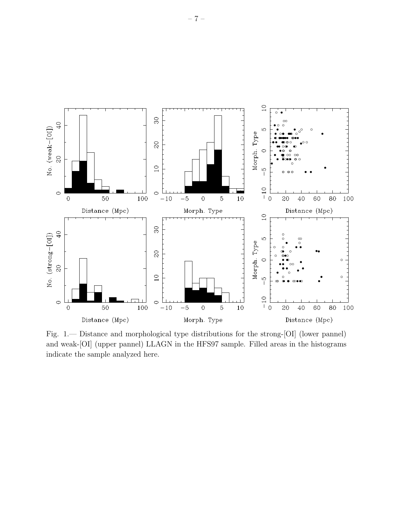

Fig. 1.— Distance and morphological type distributions for the strong-[OI] (lower pannel) and weak-[OI] (upper pannel) LLAGN in the HFS97 sample. Filled areas in the histograms indicate the sample analyzed here.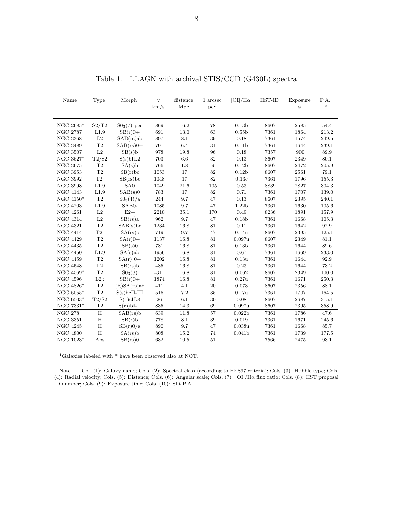| Name            | Type           | Morph           | $\mathbf{V}$<br>km/s | distance<br>Mpc | 1 arcsec<br>pc <sup>2</sup> | $[OI]/H\alpha$     | HST-ID | Exposure<br>$\,$ s | P.A.<br>$\circ$ |
|-----------------|----------------|-----------------|----------------------|-----------------|-----------------------------|--------------------|--------|--------------------|-----------------|
|                 |                |                 |                      |                 |                             |                    |        |                    |                 |
| NGC 2685*       | S2/T2          | $S03(7)$ pec    | 869                  | 16.2            | 78                          | 0.13 <sub>b</sub>  | 8607   | 2585               | 54.4            |
| <b>NGC 2787</b> | L1.9           | $SB(r)0+$       | 691                  | 13.0            | 63                          | 0.55 <sub>b</sub>  | 7361   | 1864               | 213.2           |
| <b>NGC 3368</b> | L2             | $SAB(rs)$ ab    | 897                  | 8.1             | 39                          | 0.18               | 7361   | 1574               | 249.5           |
| <b>NGC 3489</b> | T2             | $SAB(rs)0+$     | 701                  | 6.4             | 31                          | 0.11 <sub>b</sub>  | 7361   | 1644               | 239.1           |
| <b>NGC 3507</b> | $\rm L2$       | SB(s)b          | 978                  | 19.8            | 96                          | 0.18               | 7357   | 900                | 89.9            |
| NGC 3627*       | T2/S2          | $S(s)$ bII.2    | 703                  | 6.6             | 32                          | 0.13               | 8607   | 2349               | 80.1            |
| <b>NGC 3675</b> | T2             | SA(s)b          | 766                  | 1.8             | 9                           | 0.12 <sub>b</sub>  | 8607   | 2472               | 205.9           |
| <b>NGC 3953</b> | T2             | SB(r)bc         | 1053                 | 17              | 82                          | 0.12 <sub>b</sub>  | 8607   | 2561               | 79.1            |
| <b>NGC 3992</b> | T2:            | SB(rs)bc        | 1048                 | 17              | 82                          | 0.13c              | 7361   | 1796               | 155.3           |
| <b>NGC 3998</b> | $_{\rm L1.9}$  | SA <sub>0</sub> | 1049                 | 21.6            | 105                         | 0.53               | 8839   | 2827               | 304.3           |
| <b>NGC 4143</b> | L1.9           | SAB(s)0         | 783                  | 17              | 82                          | 0.71               | 7361   | 1707               | 139.0           |
| NGC $4150^*$    | $\mathrm{T}2$  | $S0_3(4)/a$     | 244                  | 9.7             | 47                          | 0.13               | 8607   | 2395               | 240.1           |
| <b>NGC 4203</b> | L1.9           | SAB0-           | 1085                 | 9.7             | 47                          | 1.22 <sub>b</sub>  | 7361   | 1630               | 105.6           |
| <b>NGC 4261</b> | L2             | $E2+$           | 2210                 | 35.1            | 170                         | 0.49               | 8236   | 1891               | 157.9           |
| <b>NGC 4314</b> | $\rm L2$       | SB(rs)a         | 962                  | 9.7             | 47                          | 0.18 <sub>b</sub>  | 7361   | 1668               | 105.3           |
| <b>NGC 4321</b> | $\rm{T}2$      | SAB(s)bc        | 1234                 | 16.8            | 81                          | 0.11               | 7361   | 1642               | 92.9            |
| <b>NGC 4414</b> | T2:            | SA(rs)c         | 719                  | 9.7             | 47                          | 0.14u              | 8607   | 2395               | 125.1           |
| <b>NGC 4429</b> | $\rm{T}2$      | $SA(r)0+$       | 1137                 | 16.8            | 81                          | 0.097u             | 8607   | 2349               | 81.1            |
| <b>NGC 4435</b> | T2             | SB(s)0          | 781                  | 16.8            | 81                          | 0.13 <sub>b</sub>  | 7361   | 1644               | 89.6            |
| <b>NGC 4450</b> | L1.9           | SA(s)ab         | 1956                 | 16.8            | 81                          | 0.67               | 7361   | 1669               | 233.0           |
| <b>NGC 4459</b> | $\rm{T}2$      | $SA(r)$ 0+      | 1202                 | 16.8            | 81                          | 0.13u              | 7361   | 1644               | 92.9            |
| <b>NGC 4548</b> | L2             | SB(rs)b         | 485                  | 16.8            | 81                          | 0.23               | 7361   | 1644               | 73.2            |
| NGC 4569*       | $\rm{T}2$      | $S0_3(3)$       | $-311$               | 16.8            | 81                          | 0.062              | 8607   | 2349               | 100.0           |
| <b>NGC 4596</b> | $L2$ :         | $SB(r)0+$       | 1874                 | 16.8            | 81                          | 0.27 <sub>u</sub>  | 7361   | 1671               | 250.3           |
| NGC 4826*       | T2             | (R)SA(rs)ab     | 411                  | 4.1             | 20                          | 0.073              | 8607   | 2356               | 88.1            |
| NGC 5055*       | T <sub>2</sub> | $S(s)$ bcII-III | 516                  | 7.2             | 35                          | 0.17 <sub>u</sub>  | 7361   | 1707               | 164.5           |
| NGC 6503*       | T2/S2          | S(1)cII.8       | 26                   | 6.1             | 30                          | 0.08               | 8607   | 2687               | 315.1           |
| NGC 7331*       | T2             | $S(rs)bI-II$    | 835                  | 14.3            | 69                          | 0.097 <sub>u</sub> | 8607   | 2395               | 358.9           |
| <b>NGC 278</b>  | H              | SAB(rs)b        | 639                  | 11.8            | 57                          | 0.022 <sub>b</sub> | 7361   | 1786               | 47.6            |
| <b>NGC 3351</b> | H              | SB(r)b          | 778                  | 8.1             | 39                          | 0.019              | 7361   | 1671               | 245.6           |
| <b>NGC 4245</b> | $\rm H$        | SB(r)0/a        | 890                  | 9.7             | 47                          | 0.038 <sub>u</sub> | 7361   | 1668               | 85.7            |
| <b>NGC 4800</b> | $\mathbf H$    | SA(rs)b         | 808                  | 15.2            | 74                          | 0.041 <sub>b</sub> | 7361   | 1739               | 177.5           |
| NGC 1023*       | Abs            | SB(rs)0         | 632                  | 10.5            | 51                          | .                  | 7566   | 2475               | 93.1            |

Table 1. LLAGN with archival STIS/CCD (G430L) spectra

<sup>1</sup>Galaxies labeled with \* have been observed also at NOT.

Note. — Col. (1): Galaxy name; Cols. (2): Spectral class (according to HFS97 criteria); Cols. (3): Hubble type; Cols. (4): Radial velocity; Cols. (5): Distance; Cols. (6): Angular scale; Cols. (7): [OI]/Hα flux ratio; Cols. (8): HST proposal ID number; Cols. (9): Exposure time; Cols. (10): Slit P.A.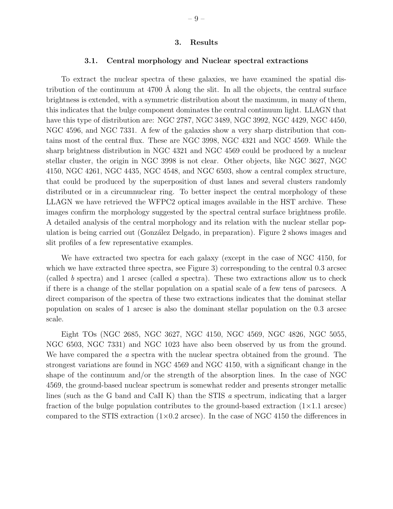## 3. Results

## 3.1. Central morphology and Nuclear spectral extractions

To extract the nuclear spectra of these galaxies, we have examined the spatial distribution of the continuum at  $4700 \text{ Å}$  along the slit. In all the objects, the central surface brightness is extended, with a symmetric distribution about the maximum, in many of them, this indicates that the bulge component dominates the central continuum light. LLAGN that have this type of distribution are: NGC 2787, NGC 3489, NGC 3992, NGC 4429, NGC 4450, NGC 4596, and NGC 7331. A few of the galaxies show a very sharp distribution that contains most of the central flux. These are NGC 3998, NGC 4321 and NGC 4569. While the sharp brightness distribution in NGC 4321 and NGC 4569 could be produced by a nuclear stellar cluster, the origin in NGC 3998 is not clear. Other objects, like NGC 3627, NGC 4150, NGC 4261, NGC 4435, NGC 4548, and NGC 6503, show a central complex structure, that could be produced by the superposition of dust lanes and several clusters randomly distributed or in a circumnuclear ring. To better inspect the central morphology of these LLAGN we have retrieved the WFPC2 optical images available in the HST archive. These images confirm the morphology suggested by the spectral central surface brightness profile. A detailed analysis of the central morphology and its relation with the nuclear stellar population is being carried out (González Delgado, in preparation). Figure 2 shows images and slit profiles of a few representative examples.

We have extracted two spectra for each galaxy (except in the case of NGC 4150, for which we have extracted three spectra, see Figure 3) corresponding to the central 0.3 arcsec (called b spectra) and 1 arcsec (called a spectra). These two extractions allow us to check if there is a change of the stellar population on a spatial scale of a few tens of parcsecs. A direct comparison of the spectra of these two extractions indicates that the dominat stellar population on scales of 1 arcsec is also the dominant stellar population on the 0.3 arcsec scale.

Eight TOs (NGC 2685, NGC 3627, NGC 4150, NGC 4569, NGC 4826, NGC 5055, NGC 6503, NGC 7331) and NGC 1023 have also been observed by us from the ground. We have compared the a spectra with the nuclear spectra obtained from the ground. The strongest variations are found in NGC 4569 and NGC 4150, with a significant change in the shape of the continuum and/or the strength of the absorption lines. In the case of NGC 4569, the ground-based nuclear spectrum is somewhat redder and presents stronger metallic lines (such as the G band and CaII K) than the STIS a spectrum, indicating that a larger fraction of the bulge population contributes to the ground-based extraction  $(1\times1.1 \text{ arcsec})$ compared to the STIS extraction  $(1\times0.2 \text{ arcsec})$ . In the case of NGC 4150 the differences in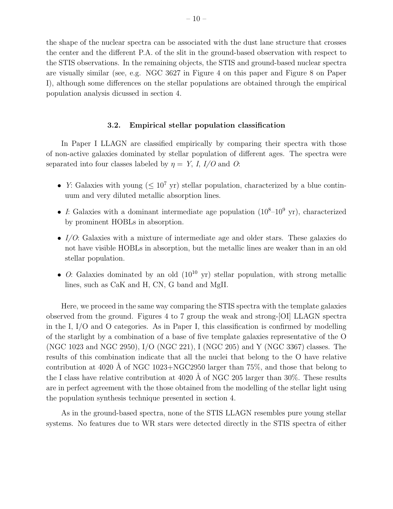the shape of the nuclear spectra can be associated with the dust lane structure that crosses the center and the different P.A. of the slit in the ground-based observation with respect to the STIS observations. In the remaining objects, the STIS and ground-based nuclear spectra are visually similar (see, e.g. NGC 3627 in Figure 4 on this paper and Figure 8 on Paper I), although some differences on the stellar populations are obtained through the empirical population analysis dicussed in section 4.

## 3.2. Empirical stellar population classification

In Paper I LLAGN are classified empirically by comparing their spectra with those of non-active galaxies dominated by stellar population of different ages. The spectra were separated into four classes labeled by  $\eta = Y$ , I, I/O and O:

- Y: Galaxies with young ( $\leq 10^7$  yr) stellar population, characterized by a blue continuum and very diluted metallic absorption lines.
- I: Galaxies with a dominant intermediate age population  $(10^8-10^9 \text{ yr})$ , characterized by prominent HOBLs in absorption.
- I/O: Galaxies with a mixture of intermediate age and older stars. These galaxies do not have visible HOBLs in absorption, but the metallic lines are weaker than in an old stellar population.
- O: Galaxies dominated by an old  $(10^{10} \text{ yr})$  stellar population, with strong metallic lines, such as CaK and H, CN, G band and MgII.

Here, we proceed in the same way comparing the STIS spectra with the template galaxies observed from the ground. Figures 4 to 7 group the weak and strong-[OI] LLAGN spectra in the I, I/O and O categories. As in Paper I, this classification is confirmed by modelling of the starlight by a combination of a base of five template galaxies representative of the O (NGC 1023 and NGC 2950), I/O (NGC 221), I (NGC 205) and Y (NGC 3367) classes. The results of this combination indicate that all the nuclei that belong to the O have relative contribution at 4020 Å of NGC 1023+NGC2950 larger than  $75\%$ , and those that belong to the I class have relative contribution at 4020 Å of NGC 205 larger than  $30\%$ . These results are in perfect agreement with the those obtained from the modelling of the stellar light using the population synthesis technique presented in section 4.

As in the ground-based spectra, none of the STIS LLAGN resembles pure young stellar systems. No features due to WR stars were detected directly in the STIS spectra of either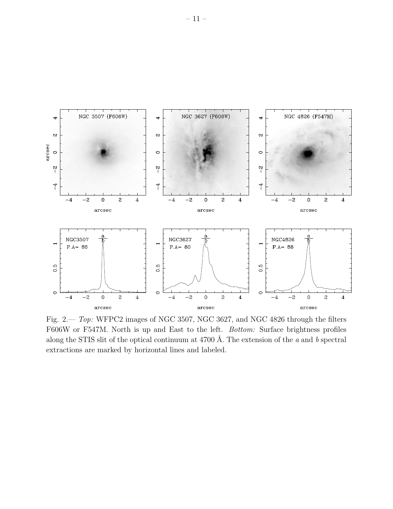

Fig. 2.— Top: WFPC2 images of NGC 3507, NGC 3627, and NGC 4826 through the filters F606W or F547M. North is up and East to the left. Bottom: Surface brightness profiles along the STIS slit of the optical continuum at 4700 Å. The extension of the  $a$  and  $b$  spectral extractions are marked by horizontal lines and labeled.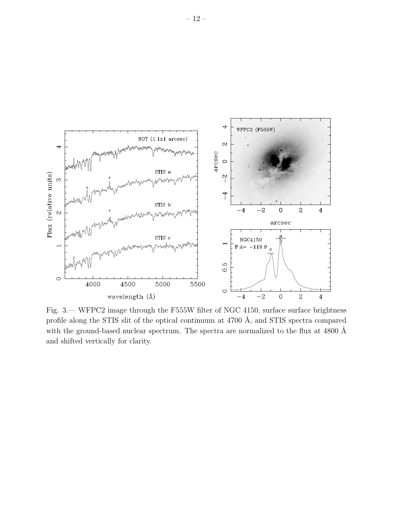

Fig. 3.— WFPC2 image through the F555W filter of NGC 4150, surface surface brightness profile along the STIS slit of the optical continuum at  $4700 \text{ Å}$ , and STIS spectra compared with the ground-based nuclear spectrum. The spectra are normalized to the flux at 4800  $\AA$ and shifted vertically for clarity.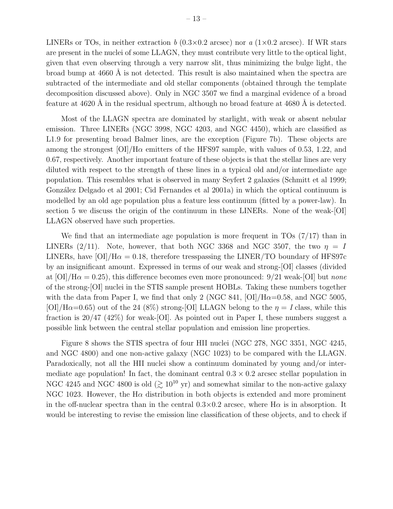LINERs or TOs, in neither extraction b  $(0.3\times0.2$  arcsec) nor a  $(1\times0.2$  arcsec). If WR stars are present in the nuclei of some LLAGN, they must contribute very little to the optical light, given that even observing through a very narrow slit, thus minimizing the bulge light, the broad bump at  $4660 \text{ Å}$  is not detected. This result is also maintained when the spectra are subtracted of the intermediate and old stellar components (obtained through the template decomposition discussed above). Only in NGC 3507 we find a marginal evidence of a broad feature at  $4620$  Å in the residual spectrum, although no broad feature at  $4680$  Å is detected.

Most of the LLAGN spectra are dominated by starlight, with weak or absent nebular emission. Three LINERs (NGC 3998, NGC 4203, and NGC 4450), which are classified as L1.9 for presenting broad Balmer lines, are the exception (Figure 7b). These objects are among the strongest  $\text{[OI]}/\text{H}\alpha$  emitters of the HFS97 sample, with values of 0.53, 1.22, and 0.67, respectively. Another important feature of these objects is that the stellar lines are very diluted with respect to the strength of these lines in a typical old and/or intermediate age population. This resembles what is observed in many Seyfert 2 galaxies (Schmitt et al 1999; González Delgado et al 2001; Cid Fernandes et al 2001a) in which the optical continuum is modelled by an old age population plus a feature less continuum (fitted by a power-law). In section 5 we discuss the origin of the continuum in these LINERs. None of the weak-[OI] LLAGN observed have such properties.

We find that an intermediate age population is more frequent in TOs  $(7/17)$  than in LINERs (2/11). Note, however, that both NGC 3368 and NGC 3507, the two  $\eta = I$ LINERs, have  $\text{[OI]/H}\alpha = 0.18$ , therefore tresspassing the LINER/TO boundary of HFS97c by an insignificant amount. Expressed in terms of our weak and strong-[OI] classes (divided at  $\text{[OI]}/\text{H}\alpha = 0.25$ , this difference becomes even more pronounced: 9/21 weak- $\text{[OI]}$  but none of the strong-[OI] nuclei in the STIS sample present HOBLs. Taking these numbers together with the data from Paper I, we find that only 2 (NGC 841, [OI]/ $H\alpha=0.58$ , and NGC 5005,  $[OI]/H\alpha=0.65$ ) out of the 24 (8%) strong-[OI] LLAGN belong to the  $\eta = I$  class, while this fraction is  $20/47$  (42%) for weak-[OI]. As pointed out in Paper I, these numbers suggest a possible link between the central stellar population and emission line properties.

Figure 8 shows the STIS spectra of four HII nuclei (NGC 278, NGC 3351, NGC 4245, and NGC 4800) and one non-active galaxy (NGC 1023) to be compared with the LLAGN. Paradoxically, not all the HII nuclei show a continuum dominated by young and/or intermediate age population! In fact, the dominant central  $0.3 \times 0.2$  arcsec stellar population in NGC 4245 and NGC 4800 is old  $($   $\geq 10^{10}$  yr) and somewhat similar to the non-active galaxy NGC 1023. However, the H $\alpha$  distribution in both objects is extended and more prominent in the off-nuclear spectra than in the central  $0.3 \times 0.2$  arcsec, where H $\alpha$  is in absorption. It would be interesting to revise the emission line classification of these objects, and to check if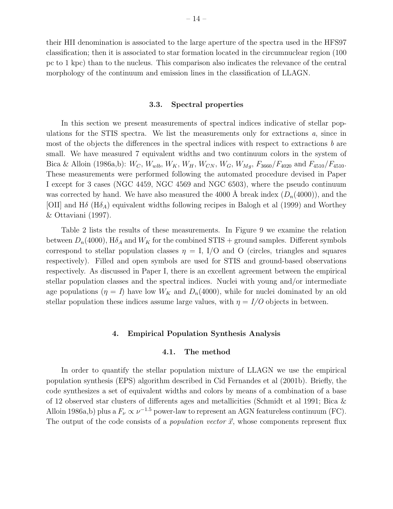their HII denomination is associated to the large aperture of the spectra used in the HFS97 classification; then it is associated to star formation located in the circumnuclear region (100 pc to 1 kpc) than to the nucleus. This comparison also indicates the relevance of the central morphology of the continuum and emission lines in the classification of LLAGN.

#### 3.3. Spectral properties

In this section we present measurements of spectral indices indicative of stellar populations for the STIS spectra. We list the measurements only for extractions  $a$ , since in most of the objects the differences in the spectral indices with respect to extractions b are small. We have measured 7 equivalent widths and two continuum colors in the system of Bica & Alloin (1986a,b):  $W_C$ ,  $W_{wlb}$ ,  $W_K$ ,  $W_H$ ,  $W_{CN}$ ,  $W_G$ ,  $W_{Mg}$ ,  $F_{3660}/F_{4020}$  and  $F_{4510}/F_{4510}$ . These measurements were performed following the automated procedure devised in Paper I except for 3 cases (NGC 4459, NGC 4569 and NGC 6503), where the pseudo continuum was corrected by hand. We have also measured the 4000 Å break index  $(D_n(4000))$ , and the [OII] and H $\delta$  (H $\delta$ A) equivalent widths following recipes in Balogh et al (1999) and Worthey & Ottaviani (1997).

Table 2 lists the results of these measurements. In Figure 9 we examine the relation between  $D_n(4000)$ ,  $H\delta_A$  and  $W_K$  for the combined STIS + ground samples. Different symbols correspond to stellar population classes  $\eta = I$ , I/O and O (circles, triangles and squares respectively). Filled and open symbols are used for STIS and ground-based observations respectively. As discussed in Paper I, there is an excellent agreement between the empirical stellar population classes and the spectral indices. Nuclei with young and/or intermediate age populations  $(\eta = I)$  have low  $W_K$  and  $D_n(4000)$ , while for nuclei dominated by an old stellar population these indices assume large values, with  $\eta = I/O$  objects in between.

#### 4. Empirical Population Synthesis Analysis

## 4.1. The method

In order to quantify the stellar population mixture of LLAGN we use the empirical population synthesis (EPS) algorithm described in Cid Fernandes et al (2001b). Briefly, the code synthesizes a set of equivalent widths and colors by means of a combination of a base of 12 observed star clusters of differents ages and metallicities (Schmidt et al 1991; Bica & Alloin 1986a,b) plus a  $F_{\nu} \propto \nu^{-1.5}$  power-law to represent an AGN featureless continuum (FC). The output of the code consists of a *population vector*  $\vec{x}$ , whose components represent flux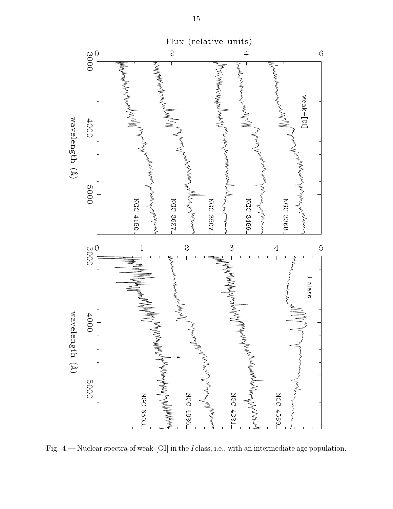

Fig. 4.— Nuclear spectra of weak-[OI] in the I class, i.e., with an intermediate age population.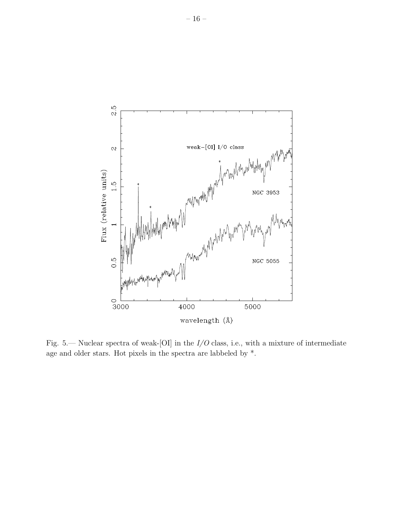

Fig. 5.— Nuclear spectra of weak-[OI] in the  $I/O$  class, i.e., with a mixture of intermediate age and older stars. Hot pixels in the spectra are labbeled by \*.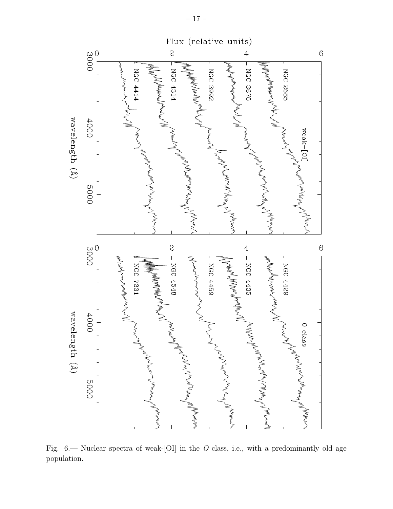

Fig.  $6$ — Nuclear spectra of weak-[OI] in the O class, i.e., with a predominantly old age population.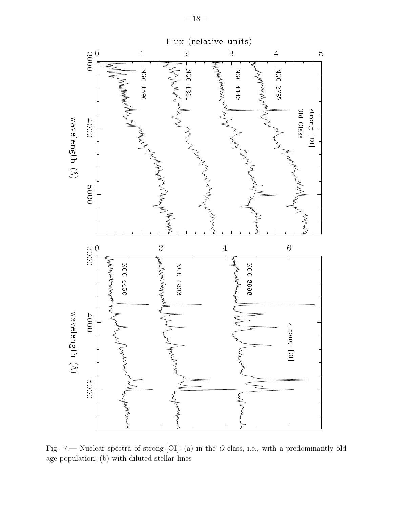

Fig. 7.— Nuclear spectra of strong-[OI]: (a) in the O class, i.e., with a predominantly old age population; (b) with diluted stellar lines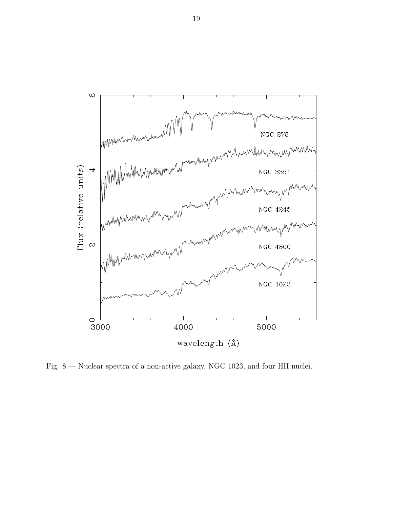

Fig. 8.— Nuclear spectra of a non-active galaxy, NGC 1023, and four HII nuclei.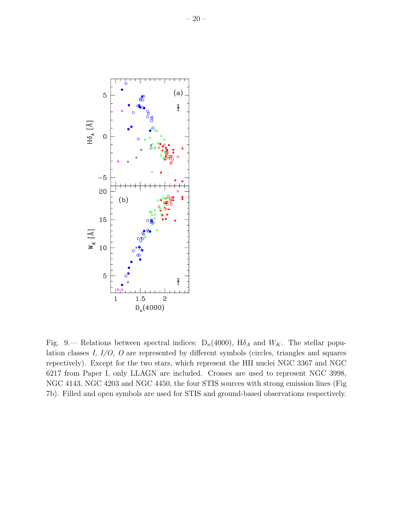

Fig. 9.— Relations between spectral indices:  $D_n(4000)$ ,  $H\delta_A$  and  $W_K$ . The stellar population classes I, I/O, O are represented by different symbols (circles, triangles and squares repectively). Except for the two stars, which represent the HII nuclei NGC 3367 and NGC 6217 from Paper I, only LLAGN are included. Crosses are used to represent NGC 3998, NGC 4143, NGC 4203 and NGC 4450, the four STIS sources with strong emission lines (Fig 7b). Filled and open symbols are used for STIS and ground-based observations respectively.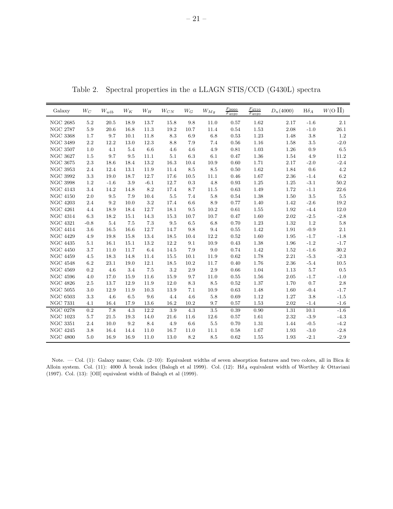Table 2. Spectral properties in the a LLAGN STIS/CCD (G430L) spectra

| Galaxy               | $W_C$   | $\mathcal{W}_{wlb}$ | $W_K$ | $W_H$  | $W_{CN}$ | $W_G$    | $W_{Mg}$ | $F_{3660}$<br>$F_{4020}$ | $F_{4510}$<br>$F_{4020}$ | $D_n(4000)$ | ${\rm H}\delta_A$ | $W(O \prod)$ |
|----------------------|---------|---------------------|-------|--------|----------|----------|----------|--------------------------|--------------------------|-------------|-------------------|--------------|
| <b>NGC 2685</b>      | $5.2\,$ | $20.5\,$            | 18.9  | 13.7   | 15.8     | $9.8\,$  | 11.0     | 0.57                     | 1.62                     | 2.17        | $-1.6$            | 2.1          |
| <b>NGC 2787</b>      | 5.9     | 20.6                | 16.8  | 11.3   | 19.2     | 10.7     | 11.4     | 0.54                     | 1.53                     | 2.08        | $-1.0$            | 26.1         |
| <b>NGC 3368</b>      | 1.7     | 9.7                 | 10.1  | 11.8   | 8.3      | 6.9      | 6.8      | 0.53                     | 1.23                     | 1.48        | $3.8\,$           | 1.2          |
| $\rm NGC~3489$       | 2.2     | 12.2                | 13.0  | 12.3   | 8.8      | 7.9      | 7.4      | $\,0.56$                 | 1.16                     | 1.58        | $3.5\,$           | $-2.0$       |
| <b>NGC 3507</b>      | 1.0     | 4.1                 | 5.4   | 6.6    | 4.6      | 4.6      | 4.9      | 0.81                     | 1.03                     | 1.26        | 0.9               | 6.5          |
| <b>NGC 3627</b>      | 1.5     | 9.7                 | 9.5   | 11.1   | 5.1      | 6.3      | 6.1      | 0.47                     | 1.36                     | 1.54        | 4.9               | 11.2         |
| <b>NGC 3675</b>      | $2.3\,$ | 18.6                | 18.4  | 13.2   | 16.3     | 10.4     | 10.9     | 0.60                     | 1.71                     | 2.17        | $-2.0$            | $-2.4$       |
| <b>NGC 3953</b>      | 2.4     | 12.4                | 13.1  | 11.9   | 11.4     | 8.5      | 8.5      | 0.50                     | 1.62                     | 1.84        | 0.6               | $4.2\,$      |
| <b>NGC 3992</b>      | $3.3\,$ | 19.0                | 18.7  | 12.7   | 17.6     | $10.5\,$ | 11.1     | 0.46                     | 1.67                     | 2.36        | $-1.4$            | 6.2          |
| <b>NGC 3998</b>      | 1.2     | $-1.6$              | 3.9   | $-6.1$ | 12.7     | 0.3      | 4.8      | 0.93                     | 1.25                     | 1.25        | $-3.1$            | 50.2         |
| <b>NGC 4143</b>      | 3.4     | 14.2                | 14.8  | 8.2    | 17.4     | 8.7      | 11.5     | 0.63                     | 1.49                     | 1.72        | $-1.1$            | 22.6         |
| <b>NGC 4150</b>      | 2.0     | 9.5                 | 7.9   | 10.4   | 5.5      | 7.4      | 5.8      | 0.54                     | 1.38                     | 1.50        | $3.5\,$           | 5.5          |
| $\rm NGC$ $\rm 4203$ | 2.4     | $\,9.2$             | 10.0  | 3.2    | 17.4     | 6.6      | 8.9      | 0.77                     | 1.40                     | 1.42        | $-2.6$            | 19.2         |
| <b>NGC 4261</b>      | 4.4     | 18.9                | 18.4  | 12.7   | 18.1     | 9.5      | 10.2     | 0.61                     | 1.55                     | 1.92        | $-4.4$            | 12.0         |
| <b>NGC 4314</b>      | 6.3     | 18.2                | 15.1  | 14.3   | 15.3     | 10.7     | 10.7     | 0.47                     | 1.60                     | 2.02        | $-2.5$            | $-2.8$       |
| <b>NGC 4321</b>      | $-0.8$  | 5.4                 | 7.5   | 7.3    | 9.5      | 6.5      | 6.8      | 0.70                     | 1.23                     | 1.32        | $1.2\,$           | $5.8\,$      |
| <b>NGC 4414</b>      | 3.6     | 16.5                | 16.6  | 12.7   | 14.7     | 9.8      | 9.4      | 0.55                     | 1.42                     | 1.91        | $-0.9$            | 2.1          |
| <b>NGC 4429</b>      | 4.9     | 19.8                | 15.8  | 13.4   | 18.5     | 10.4     | 12.2     | 0.52                     | 1.60                     | 1.95        | $-1.7$            | $-1.8$       |
| <b>NGC 4435</b>      | 5.1     | 16.1                | 15.1  | 13.2   | 12.2     | 9.1      | 10.9     | 0.43                     | 1.38                     | 1.96        | $-1.2$            | $-1.7$       |
| <b>NGC 4450</b>      | 3.7     | 11.0                | 11.7  | 6.4    | 14.5     | 7.9      | 9.0      | 0.74                     | 1.42                     | 1.52        | $-1.6$            | 30.2         |
| <b>NGC 4459</b>      | 4.5     | 18.3                | 14.8  | 11.4   | 15.5     | 10.1     | 11.9     | 0.62                     | 1.78                     | 2.21        | $-5.3$            | $-2.3$       |
| <b>NGC 4548</b>      | $6.2\,$ | $23.1\,$            | 19.0  | 12.1   | 18.5     | 10.2     | 11.7     | 0.40                     | 1.76                     | 2.36        | $-5.4$            | 10.5         |
| <b>NGC 4569</b>      | 0.2     | 4.6                 | 3.4   | 7.5    | 3.2      | 2.9      | 2.9      | 0.66                     | 1.04                     | 1.13        | 5.7               | 0.5          |
| <b>NGC 4596</b>      | 4.0     | 17.0                | 15.9  | 11.6   | 15.9     | 9.7      | 11.0     | 0.55                     | 1.56                     | 2.05        | $-1.7$            | $-1.0$       |
| <b>NGC 4826</b>      | $2.5\,$ | 13.7                | 12.9  | 11.9   | 12.0     | 8.3      | 8.5      | 0.52                     | 1.37                     | 1.70        | 0.7               | 2.8          |
| <b>NGC 5055</b>      | 3.0     | 12.9                | 11.9  | 10.3   | 13.9     | 7.1      | 10.9     | 0.63                     | 1.48                     | 1.60        | $-0.4$            | $-1.7$       |
| <b>NGC 6503</b>      | 3.3     | 4.6                 | 6.5   | 9.6    | 4.4      | 4.6      | 5.8      | 0.69                     | 1.12                     | 1.27        | 3.8               | $-1.5$       |
| <b>NGC 7331</b>      | 4.1     | 16.4                | 17.9  | 13.6   | 16.2     | 10.2     | 9.7      | 0.57                     | 1.53                     | 2.02        | $-1.4$            | $-1.6$       |
| <b>NGC 0278</b>      | 0.2     | 7.8                 | 4.3   | 12.2   | 3.9      | 4.3      | 3.5      | 0.39                     | 0.90                     | 1.31        | $10.1\,$          | $-1.6$       |
| <b>NGC 1023</b>      | 5.7     | 21.5                | 19.3  | 14.0   | 21.6     | 11.6     | 12.6     | 0.57                     | 1.61                     | 2.32        | $-3.9$            | $-4.3$       |
| <b>NGC 3351</b>      | 2.4     | 10.0                | 9.2   | 8.4    | 4.9      | 6.6      | $5.5\,$  | 0.70                     | 1.31                     | 1.44        | $-0.5$            | $-4.2$       |
| <b>NGC 4245</b>      | 3.8     | 16.4                | 14.4  | 11.0   | 16.7     | 11.0     | 11.1     | 0.58                     | 1.67                     | 1.93        | $-3.0$            | $-2.8$       |
| <b>NGC 4800</b>      | 5.0     | 16.9                | 16.9  | 11.0   | 13.0     | 8.2      | 8.5      | 0.62                     | 1.55                     | 1.93        | $-2.1$            | $-2.9$       |

Note. — Col. (1): Galaxy name; Cols. (2–10): Equivalent widths of seven absorption features and two colors, all in Bica & Alloin system. Col. (11): 4000 Å break index (Balogh et al 1999). Col. (12): H $\delta_A$  equivalent width of Worthey & Ottaviani (1997). Col. (13): [OII] equivalent width of Balogh et al (1999).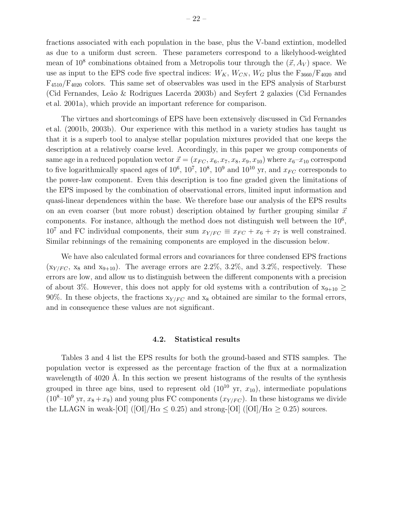fractions associated with each population in the base, plus the V-band extintion, modelled as due to a uniform dust screen. These parameters correspond to a likelyhood-weighted mean of  $10^8$  combinations obtained from a Metropolis tour through the  $(\vec{x}, A_V)$  space. We use as input to the EPS code five spectral indices:  $W_K$ ,  $W_{CN}$ ,  $W_G$  plus the  $F_{3660}/F_{4020}$  and F4510/F<sup>4020</sup> colors. This same set of observables was used in the EPS analysis of Starburst (Cid Fernandes, Leão & Rodrigues Lacerda 2003b) and Seyfert 2 galaxies (Cid Fernandes et al. 2001a), which provide an important reference for comparison.

The virtues and shortcomings of EPS have been extensively discussed in Cid Fernandes et al. (2001b, 2003b). Our experience with this method in a variety studies has taught us that it is a superb tool to analyse stellar population mixtures provided that one keeps the description at a relatively coarse level. Accordingly, in this paper we group components of same age in a reduced population vector  $\vec{x} = (x_{FC}, x_6, x_7, x_8, x_9, x_{10})$  where  $x_6-x_{10}$  correspond to five logarithmically spaced ages of  $10^6$ ,  $10^7$ ,  $10^8$ ,  $10^9$  and  $10^{10}$  yr, and  $x_{FC}$  corresponds to the power-law component. Even this description is too fine graded given the limitations of the EPS imposed by the combination of observational errors, limited input information and quasi-linear dependences within the base. We therefore base our analysis of the EPS results on an even coarser (but more robust) description obtained by further grouping similar  $\vec{x}$ components. For instance, although the method does not distinguish well between the  $10<sup>6</sup>$ ,  $10^7$  and FC individual components, their sum  $x_{Y/FC} \equiv x_{FC} + x_6 + x_7$  is well constrained. Similar rebinnings of the remaining components are employed in the discussion below.

We have also calculated formal errors and covariances for three condensed EPS fractions  $(x_{Y/FC}, x_8 \text{ and } x_{9+10})$ . The average errors are 2.2%, 3.2%, and 3.2%, respectively. These errors are low, and allow us to distinguish between the different components with a precision of about 3%. However, this does not apply for old systems with a contribution of  $x_{9+10} \ge$ 90%. In these objects, the fractions  $x_{Y/FC}$  and  $x_8$  obtained are similar to the formal errors, and in consequence these values are not significant.

#### 4.2. Statistical results

Tables 3 and 4 list the EPS results for both the ground-based and STIS samples. The population vector is expressed as the percentage fraction of the flux at a normalization wavelength of 4020 Å. In this section we present histograms of the results of the synthesis grouped in three age bins, used to represent old  $(10^{10} \text{ yr}, x_{10})$ , intermediate populations  $(10<sup>8</sup>-10<sup>9</sup>$  yr,  $x<sub>8</sub>+x<sub>9</sub>)$  and young plus FC components  $(x<sub>Y/FC</sub>)$ . In these histograms we divide the LLAGN in weak-[OI] ([OI]/H $\alpha \leq 0.25$ ) and strong-[OI] ([OI]/H $\alpha \geq 0.25$ ) sources.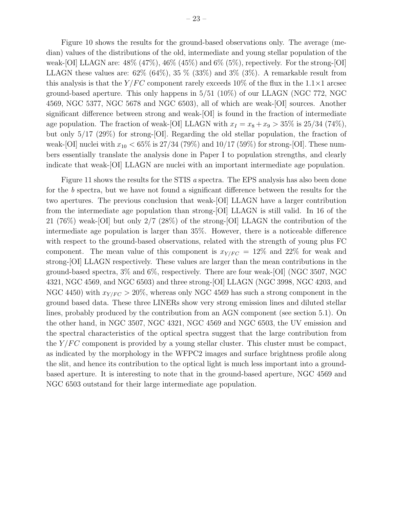Figure 10 shows the results for the ground-based observations only. The average (median) values of the distributions of the old, intermediate and young stellar population of the weak-[OI] LLAGN are:  $48\%$  (47%),  $46\%$  (45%) and 6% (5%), repectively. For the strong-[OI] LLAGN these values are:  $62\%$   $(64\%)$ ,  $35\%$   $(33\%)$  and  $3\%$   $(3\%)$ . A remarkable result from this analysis is that the  $Y/FC$  component rarely exceeds 10% of the flux in the 1.1×1 arcsec ground-based aperture. This only happens in 5/51 (10%) of our LLAGN (NGC 772, NGC 4569, NGC 5377, NGC 5678 and NGC 6503), all of which are weak-[OI] sources. Another significant difference between strong and weak-[OI] is found in the fraction of intermediate age population. The fraction of weak-[OI] LLAGN with  $x_I = x_8 + x_9 > 35\%$  is 25/34 (74%), but only 5/17 (29%) for strong-[OI]. Regarding the old stellar population, the fraction of weak-[OI] nuclei with  $x_{10} < 65\%$  is 27/34 (79%) and 10/17 (59%) for strong-[OI]. These numbers essentially translate the analysis done in Paper I to population strengths, and clearly indicate that weak-[OI] LLAGN are nuclei with an important intermediate age population.

Figure 11 shows the results for the STIS a spectra. The EPS analysis has also been done for the b spectra, but we have not found a significant difference between the results for the two apertures. The previous conclusion that weak-[OI] LLAGN have a larger contribution from the intermediate age population than strong-[OI] LLAGN is still valid. In 16 of the 21 (76%) weak-[OI] but only 2/7 (28%) of the strong-[OI] LLAGN the contribution of the intermediate age population is larger than 35%. However, there is a noticeable difference with respect to the ground-based observations, related with the strength of young plus FC component. The mean value of this component is  $x_{Y/FC} = 12\%$  and 22% for weak and strong-[OI] LLAGN respectively. These values are larger than the mean contributions in the ground-based spectra, 3% and 6%, respectively. There are four weak-[OI] (NGC 3507, NGC 4321, NGC 4569, and NGC 6503) and three strong-[OI] LLAGN (NGC 3998, NGC 4203, and NGC 4450) with  $x_{Y/FC} > 20\%$ , whereas only NGC 4569 has such a strong component in the ground based data. These three LINERs show very strong emission lines and diluted stellar lines, probably produced by the contribution from an AGN component (see section 5.1). On the other hand, in NGC 3507, NGC 4321, NGC 4569 and NGC 6503, the UV emission and the spectral characteristics of the optical spectra suggest that the large contribution from the  $Y/FC$  component is provided by a young stellar cluster. This cluster must be compact, as indicated by the morphology in the WFPC2 images and surface brightness profile along the slit, and hence its contribution to the optical light is much less important into a groundbased aperture. It is interesting to note that in the ground-based aperture, NGC 4569 and NGC 6503 outstand for their large intermediate age population.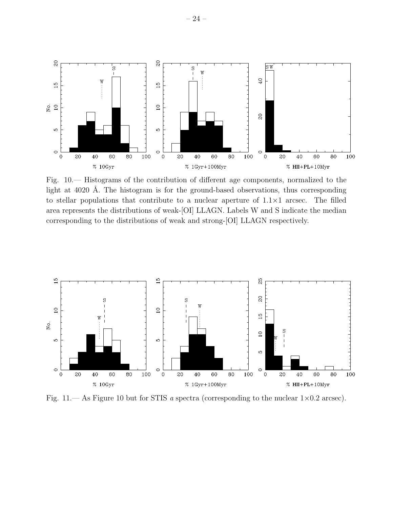

Fig. 10.— Histograms of the contribution of different age components, normalized to the light at 4020 Å. The histogram is for the ground-based observations, thus corresponding to stellar populations that contribute to a nuclear aperture of  $1.1 \times 1$  arcsec. The filled area represents the distributions of weak-[OI] LLAGN. Labels W and S indicate the median corresponding to the distributions of weak and strong-[OI] LLAGN respectively.



Fig. 11.— As Figure 10 but for STIS a spectra (corresponding to the nuclear  $1\times0.2$  arcsec).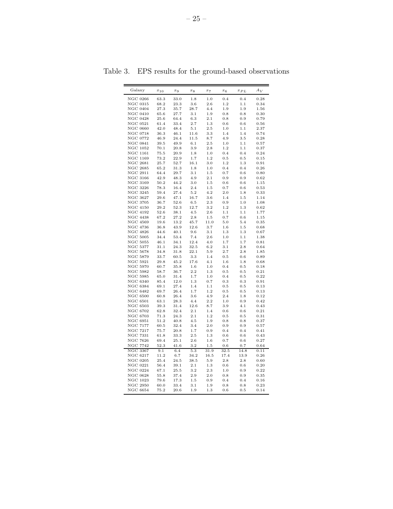| Galaxy                       | $x_{10}$  | $x_9$     | $x_8$ | $x_7$    | $x_6$    | $x_{PL}$ | $A_V$ |
|------------------------------|-----------|-----------|-------|----------|----------|----------|-------|
| <b>NGC 0266</b>              | 63.3      | 33.0      | 1.8   | 1.0      | 0.4      | 0.4      | 0.28  |
| <b>NGC 0315</b>              | 68.2      | 23.3      | 3.6   | 2.6      | 1.2      | 1.1      | 0.34  |
| <b>NGC 0404</b>              | 27.3      | 35.7      | 28.7  | 4.4      | 1.9      | 1.9      | 1.56  |
| <b>NGC 0410</b>              | 65.6      | 27.7      | 3.1   | 1.9      | 0.8      | 0.8      | 0.30  |
| <b>NGC 0428</b>              | 25.6      | 64.4      | 6.3   | 2.1      | 0.8      | 0.9      | 0.79  |
| <b>NGC 0521</b>              | 61.4      | 33.4      | 2.7   | 1.3      | 0.6      | 0.6      | 0.56  |
| <b>NGC 0660</b>              | 42.0      | 48.4      | 5.1   | 2.5      | 1.0      | 1.1      | 2.37  |
| <b>NGC 0718</b>              | 36.3      | 46.1      | 11.6  | 3.3      | 1.4      | 1.4      | 0.74  |
| <b>NGC 0772</b>              | 46.9      | 24.4      | 11.5  | 8.7      | 4.9      | 3.5      | 0.28  |
| <b>NGC 0841</b>              | 39.5      | 49.9      | 6.1   | 2.5      | 1.0      | 1.1      | 0.57  |
| NGC 1052                     | 70.1      | 20.8      | 3.9   | 2.8      | 1.2      | $1.1\,$  | 0.37  |
| <b>NGC 1161</b>              | 75.5      | 20.9      | 1.8   | 1.0      | 0.4      | 0.4      | 0.24  |
| <b>NGC 1169</b>              | 73.2      | 22.9      | 1.7   | 1.2      | 0.5      | 0.5      | 0.15  |
| <b>NGC 2681</b>              | 25.7      | 52.7      | 16.1  | 3.0      | 1.2      | 1.3      | 0.91  |
| <b>NGC 2685</b>              | 65.2      | 31.3      | 1.8   | 1.0      | 0.4      | 0.4      | 0.26  |
| NGC 2911                     | 64.4      | 29.7      | 3.1   | 1.5      | 0.7      | $_{0.6}$ | 0.80  |
| <b>NGC 3166</b>              | 42.9      | 48.3      | 4.9   | 2.1      | 0.9      | $_{0.9}$ | 0.62  |
| <b>NGC 3169</b>              | 50.2      | 44.2      | 3.0   | 1.5      | 0.6      | 0.6      | 1.15  |
| <b>NGC 3226</b>              | 78.3      | 16.4      | 2.4   | 1.5      | 0.7      | $_{0.6}$ | 0.53  |
| <b>NGC 3245</b>              | 59.4      | 27.4      | 5.2   | 4.2      | 2.0      | 1.8      | 0.33  |
| <b>NGC 3627</b>              | 29.6      | 47.1      | 16.7  | 3.6      | 1.4      | 1.5      | 1.14  |
| <b>NGC 3705</b>              | 36.7      | 52.6      | 6.5   | 2.3      | 0.9      | 1.0      | 1.08  |
| <b>NGC 4150</b>              | 29.2      | 52.3      | 12.7  | 3.2      | 1.2      | 1.3      | 0.62  |
| <b>NGC 4192</b>              | 52.6      | 38.1      | 4.5   | 2.6      | 1.1      | 1.1      | 1.77  |
| <b>NGC 4438</b>              | 67.2      | 27.2      | 2.8   | 1.5      | 0.7      | 0.6      | 1.15  |
| <b>NGC 4569</b>              | 19.6      | 13.2      | 45.7  | 11.0     | 5.0      | 5.4      | 0.35  |
| <b>NGC 4736</b>              | 36.8      | 43.9      | 12.6  | 3.7      | 1.6      | 1.5      | 0.68  |
| <b>NGC 4826</b>              | 44.6      | 40.1      | 9.6   | 3.1      | 1.3      | 1.3      | 0.67  |
| <b>NGC 5005</b>              | 34.4      | 53.4      | 7.4   | 2.6      | 1.0      | 1.1      | 1.38  |
| <b>NGC 5055</b>              | 46.1      | 34.1      | 12.4  | 4.0      | 1.7      | 1.7      | 0.81  |
| <b>NGC 5377</b>              | 31.1      | 24.3      | 32.5  | 6.2      | 3.1      | 2.8      | 0.64  |
| <b>NGC 5678</b>              | 34.8      | 31.8      | 22.1  | 5.9      | 2.7      | 2.8      | 1.85  |
| <b>NGC 5879</b>              | 33.7      | 60.5      | 3.3   | 1.4      | 0.5      | $_{0.6}$ | 0.89  |
| <b>NGC 5921</b>              | 29.8      | 45.2      | 17.6  | 4.1      | 1.6      | 1.8      | 0.68  |
| <b>NGC 5970</b>              | 60.7      | 35.8      | 1.6   | 1.0      | 0.4      | 0.5      | 0.18  |
| <b>NGC 5982</b>              | 58.7      | 36.7      | 2.2   | 1.3      | 0.5      | 0.5      | 0.21  |
| <b>NGC 5985</b>              | 65.0      | 31.4      | 1.7   | 1.0      | 0.4      | 0.5      | 0.22  |
| <b>NGC 6340</b>              | 85.4      | 12.0      | 1.3   | 0.7      | 0.3      | $_{0.3}$ | 0.91  |
| <b>NGC 6384</b>              | 69.1      | 27.4      | 1.4   | 1.1      | 0.5      | 0.5      | 0.13  |
| <b>NGC 6482</b>              | 69.7      | 26.4      | 1.7   | 1.2      | 0.5      | 0.5      | 0.13  |
| $\rm NGC~6500$               | 60.8      | 26.4      | 3.6   | 4.9      | 2.4      | 1.8      | 0.12  |
| <b>NGC 6501</b>              | 63.1      | 28.3      | 4.4   | 2.2      | 1.0      | $_{0.9}$ | 0.42  |
| <b>NGC 6503</b>              | 39.3      | 31.4      | 12.6  | 8.7      | 3.9      | 4.1      | 0.43  |
| <b>NGC 6702</b>              | 62.8      | 32.4      | 2.1   | 1.4      | 0.6      | 0.6      | 0.21  |
| <b>NGC 6703</b>              | 71.3      | 24.3      | 2.1   | 1.2      | 0.5      | 0.5      | 0.31  |
| <b>NGC 6951</b>              | 51.2      | 40.8      | 4.5   | 1.9      | 0.8      | 0.8      | 0.37  |
| <b>NGC 7177</b>              | 60.5      | 32.4      | 3.4   | 2.0      | 0.9      | 0.9      | 0.57  |
| <b>NGC 7217</b>              | 75.7      | 20.8      | 1.7   | $_{0.9}$ | 0.4      | 0.4      | 0.41  |
| NGC 7331                     | 61.8      | 33.3      | 2.5   | 1.3      | 0.6      | $_{0.6}$ | 0.43  |
| <b>NGC 7626</b>              | 69.4      | 25.1      | 2.6   | 1.6      | 0.7      | 0.6      | 0.27  |
| <b>NGC 7742</b>              | 52.3      | 41.6      | 3.2   | 1.5      | 0.6      | 0.7      | 0.64  |
| $\overline{\text{NGC}}$ 3367 | 9.1       | 6.4       | 5.3   | 31.9     | 32.5     | 14.8     | 0.11  |
| NGC 6217                     | 11.2      | 6.7       | 34.2  | 16.5     | 17.4     | 13.9     | 0.26  |
| <b>NGC 0205</b>              | $^{25.4}$ | $^{24.5}$ | 38.5  | 5.9      | 2.8      | 2.8      | 0.60  |
| <b>NGC 0221</b>              | 56.4      | 39.1      | 2.1   | 1.3      | 0.6      | 0.6      | 0.20  |
| <b>NGC 0224</b>              | 67.1      | $^{25.5}$ | 3.2   | 2.3      | 1.0      | $_{0.9}$ | 0.22  |
| <b>NGC 0628</b>              | 55.8      | 37.4      | 2.9   | 2.0      | 0.8      | 0.9      | 0.35  |
| <b>NGC 1023</b>              | 79.6      | 17.3      | 1.5   | 0.9      | $_{0.4}$ | 0.4      | 0.16  |
| <b>NGC 2950</b>              | 60.0      | 33.4      | 3.1   | 1.9      | 0.8      | 0.8      | 0.23  |
| <b>NGC 6654</b>              | 75.2      | 20.6      | 1.9   | $1.3\,$  | 0.6      | 0.5      | 0.14  |

Table 3. EPS results for the ground-based observations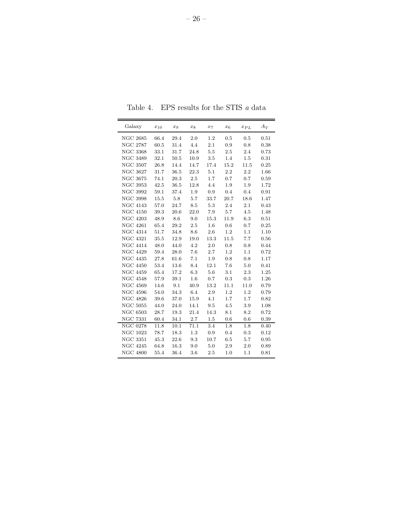| Galaxy          | $x_{\rm 10}$ | $x_9$              | $x_8$   | $x_7$    | $x_6$    | $x_{PL}$  | $A_V$      |
|-----------------|--------------|--------------------|---------|----------|----------|-----------|------------|
| <b>NGC 2685</b> | 66.4         | $\hphantom{0}29.4$ | 2.0     | 1.2      | 0.5      | 0.5       | 0.51       |
| <b>NGC 2787</b> | 60.5         | 31.4               | 4.4     | 2.1      | 0.9      | 0.8       | 0.38       |
| <b>NGC 3368</b> | 33.1         | 31.7               | 24.8    | 5.5      | $2.5\,$  | 2.4       | 0.73       |
| <b>NGC 3489</b> | 32.1         | $50.5\,$           | 10.9    | $3.5\,$  | 1.4      | $1.5\,$   | 0.31       |
| <b>NGC 3507</b> | 26.8         | 14.4               | 14.7    | 17.4     | 15.2     | 11.5      | 0.25       |
| <b>NGC 3627</b> | 31.7         | $36.5\,$           | 22.3    | 5.1      | 2.2      | 2.2       | 1.66       |
| $\rm NGC~3675$  | 74.1         | 20.3               | 2.5     | 1.7      | 0.7      | 0.7       | 0.59       |
| <b>NGC 3953</b> | 42.5         | 36.5               | 12.8    | 4.4      | 1.9      | 1.9       | 1.72       |
| <b>NGC 3992</b> | 59.1         | 37.4               | 1.9     | 0.9      | $0.4\,$  | $0.4\,$   | 0.91       |
| <b>NGC 3998</b> | 15.5         | 5.8                | 5.7     | 33.7     | 20.7     | 18.6      | 1.47       |
| <b>NGC 4143</b> | 57.0         | 24.7               | 8.5     | 5.3      | 2.4      | 2.1       | 0.43       |
| <b>NGC 4150</b> | 39.3         | $20.6\,$           | 22.0    | 7.9      | 5.7      | 4.5       | 1.48       |
| <b>NGC 4203</b> | 48.9         | 8.6                | 9.0     | $15.3\,$ | $11.9\,$ | 6.3       | 0.51       |
| <b>NGC 4261</b> | 65.4         | 29.2               | $2.5\,$ | 1.6      | $0.6\,$  | 0.7       | 0.25       |
| <b>NGC 4314</b> | 51.7         | 34.8               | 8.6     | 2.6      | 1.2      | 1.1       | 1.10       |
| <b>NGC 4321</b> | 35.5         | 12.9               | 19.0    | 13.3     | 11.5     | 7.7       | 0.56       |
| <b>NGC 4414</b> | 48.0         | 44.0               | 4.2     | $2.0\,$  | $0.8\,$  | $0.8\,$   | 0.44       |
| <b>NGC 4429</b> | 59.4         | 28.0               | 7.6     | 2.7      | 1.2      | 1.1       | 0.72       |
| <b>NGC 4435</b> | 27.8         | 61.6               | 7.1     | 1.9      | 0.8      | 0.8       | 1.17       |
| <b>NGC 4450</b> | 53.4         | 13.6               | 8.4     | 12.1     | 7.6      | 5.0       | 0.41       |
| <b>NGC 4459</b> | 65.4         | 17.2               | 6.3     | 5.6      | 3.1      | 2.3       | 1.25       |
| <b>NGC 4548</b> | 57.9         | $39.1\,$           | 1.6     | 0.7      | 0.3      | $\rm 0.3$ | 1.26       |
| <b>NGC 4569</b> | 14.6         | 9.1                | 40.9    | 13.2     | 11.1     | 11.0      | 0.79       |
| <b>NGC 4596</b> | 54.0         | 34.3               | 6.4     | 2.9      | 1.2      | 1.2       | 0.79       |
| <b>NGC 4826</b> | 39.6         | 37.0               | 15.9    | 4.1      | $1.7\,$  | 1.7       | 0.82       |
| <b>NGC 5055</b> | 44.0         | 24.0               | 14.1    | $9.5\,$  | $4.5\,$  | 3.9       | 1.08       |
| <b>NGC 6503</b> | 28.7         | 19.3               | 21.4    | 14.3     | 8.1      | 8.2       | 0.72       |
| <b>NGC 7331</b> | 60.4         | 34.1               | 2.7     | $1.5\,$  | 0.6      | 0.6       | 0.39       |
| <b>NGC 0278</b> | 11.8         | 10.1               | 71.1    | 3.4      | 1.8      | 1.8       | 0.40       |
| <b>NGC 1023</b> | 78.7         | 18.3               | $1.3\,$ | 0.9      | $0.4\,$  | 0.3       | 0.12       |
| $\rm NGC~3351$  | 45.3         | 22.6               | 9.3     | 10.7     | $6.5\,$  | 5.7       | $\rm 0.95$ |
| <b>NGC 4245</b> | 64.8         | 16.3               | 9.0     | 5.0      | 2.9      | 2.0       | 0.89       |
| <b>NGC 4800</b> | 55.4         | 36.4               | $3.6\,$ | 2.5      | $1.0\,$  | 1.1       | 0.81       |

Table 4.  $\;$  EPS results for the STIS  $\it{a}$  data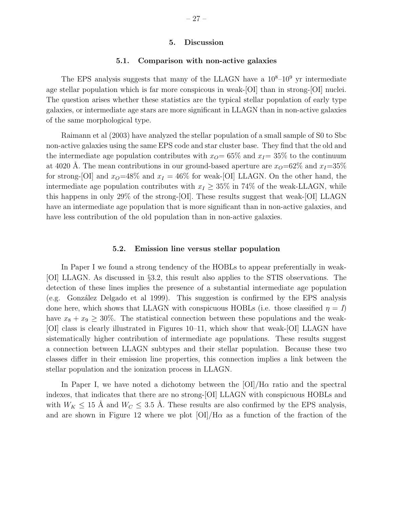## 5. Discussion

## 5.1. Comparison with non-active galaxies

The EPS analysis suggests that many of the LLAGN have a  $10<sup>8</sup>-10<sup>9</sup>$  yr intermediate age stellar population which is far more conspicous in weak-[OI] than in strong-[OI] nuclei. The question arises whether these statistics are the typical stellar population of early type galaxies, or intermediate age stars are more significant in LLAGN than in non-active galaxies of the same morphological type.

Raimann et al (2003) have analyzed the stellar population of a small sample of S0 to Sbc non-active galaxies using the same EPS code and star cluster base. They find that the old and the intermediate age population contributes with  $x<sub>O</sub>= 65%$  and  $x<sub>I</sub>= 35%$  to the continuum at 4020 Å. The mean contributions in our ground-based aperture are  $x<sub>O</sub>=62\%$  and  $x<sub>I</sub>=35\%$ for strong-[OI] and  $x_0=48\%$  and  $x_1 = 46\%$  for weak-[OI] LLAGN. On the other hand, the intermediate age population contributes with  $x_I \geq 35\%$  in 74% of the weak-LLAGN, while this happens in only 29% of the strong-[OI]. These results suggest that weak-[OI] LLAGN have an intermediate age population that is more significant than in non-active galaxies, and have less contribution of the old population than in non-active galaxies.

## 5.2. Emission line versus stellar population

In Paper I we found a strong tendency of the HOBLs to appear preferentially in weak- [OI] LLAGN. As discussed in §3.2, this result also applies to the STIS observations. The detection of these lines implies the presence of a substantial intermediate age population  $(e.g.$  González Delgado et al 1999). This suggestion is confirmed by the EPS analysis done here, which shows that LLAGN with conspicuous HOBLs (i.e. those classified  $\eta = I$ ) have  $x_8 + x_9 \geq 30\%$ . The statistical connection between these populations and the weak-[OI] class is clearly illustrated in Figures 10–11, which show that weak-[OI] LLAGN have sistematically higher contribution of intermediate age populations. These results suggest a connection between LLAGN subtypes and their stellar population. Because these two classes differ in their emission line properties, this connection implies a link between the stellar population and the ionization process in LLAGN.

In Paper I, we have noted a dichotomy between the  $\text{[OI]}/\text{H}\alpha$  ratio and the spectral indexes, that indicates that there are no strong-[OI] LLAGN with conspicuous HOBLs and with  $W_K \leq 15$  Å and  $W_C \leq 3.5$  Å. These results are also confirmed by the EPS analysis, and are shown in Figure 12 where we plot  $\text{[OI]/H}\alpha$  as a function of the fraction of the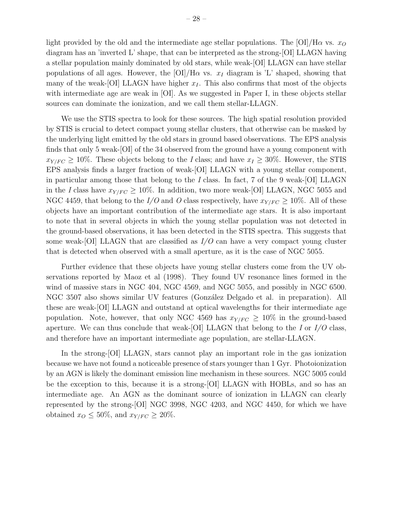light provided by the old and the intermediate age stellar populations. The [OI]/H $\alpha$  vs.  $x<sub>O</sub>$ diagram has an 'inverted L' shape, that can be interpreted as the strong-[OI] LLAGN having a stellar population mainly dominated by old stars, while weak-[OI] LLAGN can have stellar populations of all ages. However, the  $[OI]/H\alpha$  vs.  $x_I$  diagram is 'L' shaped, showing that many of the weak-[OI] LLAGN have higher  $x<sub>I</sub>$ . This also confirms that most of the objects with intermediate age are weak in [OI]. As we suggested in Paper I, in these objects stellar sources can dominate the ionization, and we call them stellar-LLAGN.

We use the STIS spectra to look for these sources. The high spatial resolution provided by STIS is crucial to detect compact young stellar clusters, that otherwise can be masked by the underlying light emitted by the old stars in ground based observations. The EPS analysis finds that only 5 weak-[OI] of the 34 observed from the ground have a young component with  $x_{Y/FC} \ge 10\%$ . These objects belong to the *I* class; and have  $x_I \ge 30\%$ . However, the STIS EPS analysis finds a larger fraction of weak-[OI] LLAGN with a young stellar component, in particular among those that belong to the I class. In fact, 7 of the 9 weak-[OI] LLAGN in the I class have  $x_{Y/FC} \ge 10\%$ . In addition, two more weak-[OI] LLAGN, NGC 5055 and NGC 4459, that belong to the I/O and O class respectively, have  $x_{Y/FC} \ge 10\%$ . All of these objects have an important contribution of the intermediate age stars. It is also important to note that in several objects in which the young stellar population was not detected in the ground-based observations, it has been detected in the STIS spectra. This suggests that some weak-[OI] LLAGN that are classified as  $I/O$  can have a very compact young cluster that is detected when observed with a small aperture, as it is the case of NGC 5055.

Further evidence that these objects have young stellar clusters come from the UV observations reported by Maoz et al (1998). They found UV resonance lines formed in the wind of massive stars in NGC 404, NGC 4569, and NGC 5055, and possibly in NGC 6500. NGC 3507 also shows similar UV features (González Delgado et al. in preparation). All these are weak-[OI] LLAGN and outstand at optical wavelengths for their intermediate age population. Note, however, that only NGC 4569 has  $x_{Y/FC} \geq 10\%$  in the ground-based aperture. We can thus conclude that weak-[OI] LLAGN that belong to the I or  $I/O$  class, and therefore have an important intermediate age population, are stellar-LLAGN.

In the strong-[OI] LLAGN, stars cannot play an important role in the gas ionization because we have not found a noticeable presence of stars younger than 1 Gyr. Photoionization by an AGN is likely the dominant emission line mechanism in these sources. NGC 5005 could be the exception to this, because it is a strong-[OI] LLAGN with HOBLs, and so has an intermediate age. An AGN as the dominant source of ionization in LLAGN can clearly represented by the strong-[OI] NGC 3998, NGC 4203, and NGC 4450, for which we have obtained  $x_O \leq 50\%$ , and  $x_{Y/FC} \geq 20\%$ .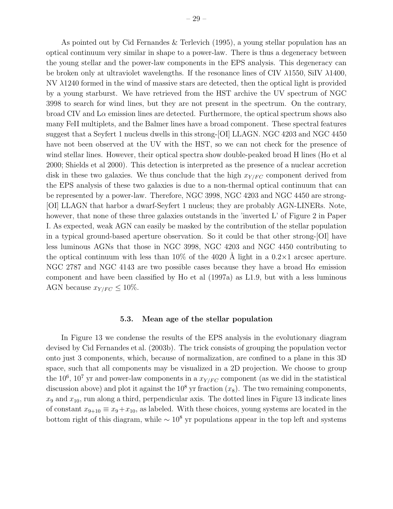As pointed out by Cid Fernandes & Terlevich (1995), a young stellar population has an optical continuum very similar in shape to a power-law. There is thus a degeneracy between the young stellar and the power-law components in the EPS analysis. This degeneracy can be broken only at ultraviolet wavelengths. If the resonance lines of CIV λ1550, SiIV λ1400, NV λ1240 formed in the wind of massive stars are detected, then the optical light is provided by a young starburst. We have retrieved from the HST archive the UV spectrum of NGC 3998 to search for wind lines, but they are not present in the spectrum. On the contrary, broad CIV and  $La$  emission lines are detected. Furthermore, the optical spectrum shows also many FeII multiplets, and the Balmer lines have a broad component. These spectral features suggest that a Seyfert 1 nucleus dwells in this strong-[OI] LLAGN. NGC 4203 and NGC 4450 have not been observed at the UV with the HST, so we can not check for the presence of wind stellar lines. However, their optical spectra show double-peaked broad H lines (Ho et al 2000; Shields et al 2000). This detection is interpreted as the presence of a nuclear accretion disk in these two galaxies. We thus conclude that the high  $x_{Y/FC}$  component derived from the EPS analysis of these two galaxies is due to a non-thermal optical continuum that can be represented by a power-law. Therefore, NGC 3998, NGC 4203 and NGC 4450 are strong- [OI] LLAGN that harbor a dwarf-Seyfert 1 nucleus; they are probably AGN-LINERs. Note, however, that none of these three galaxies outstands in the 'inverted L' of Figure 2 in Paper I. As expected, weak AGN can easily be masked by the contribution of the stellar population in a typical ground-based aperture observation. So it could be that other strong-[OI] have less luminous AGNs that those in NGC 3998, NGC 4203 and NGC 4450 contributing to the optical continuum with less than  $10\%$  of the 4020 Å light in a  $0.2 \times 1$  arcsec aperture. NGC 2787 and NGC 4143 are two possible cases because they have a broad  $H\alpha$  emission component and have been classified by Ho et al (1997a) as L1.9, but with a less luminous AGN because  $x_{Y/FC} \leq 10\%$ .

## 5.3. Mean age of the stellar population

In Figure 13 we condense the results of the EPS analysis in the evolutionary diagram devised by Cid Fernandes et al. (2003b). The trick consists of grouping the population vector onto just 3 components, which, because of normalization, are confined to a plane in this 3D space, such that all components may be visualized in a 2D projection. We choose to group the 10<sup>6</sup>, 10<sup>7</sup> yr and power-law components in a  $x_{Y/FC}$  component (as we did in the statistical discussion above) and plot it against the  $10^8$  yr fraction  $(x_8)$ . The two remaining components,  $x_9$  and  $x_{10}$ , run along a third, perpendicular axis. The dotted lines in Figure 13 indicate lines of constant  $x_{9+10} \equiv x_9 + x_{10}$ , as labeled. With these choices, young systems are located in the bottom right of this diagram, while  $\sim 10^8$  yr populations appear in the top left and systems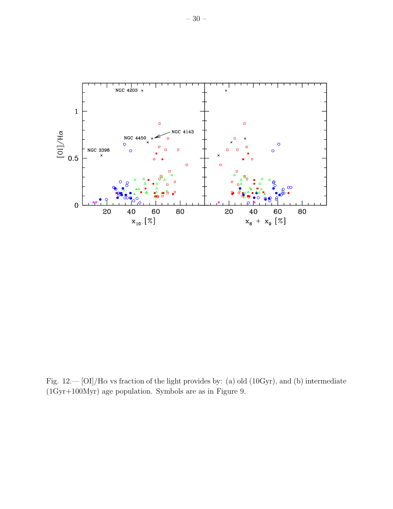

Fig.  $12-|O I|/H\alpha$  vs fraction of the light provides by: (a) old (10Gyr), and (b) intermediate (1Gyr+100Myr) age population. Symbols are as in Figure 9.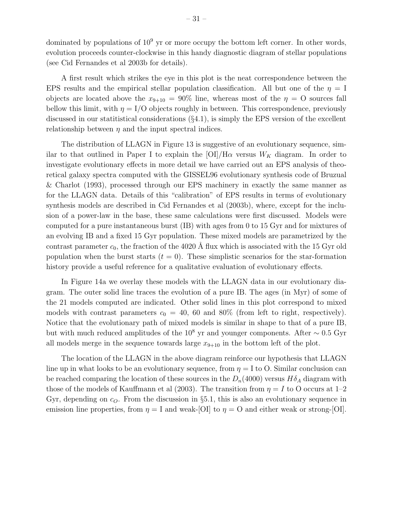dominated by populations of  $10^9$  yr or more occupy the bottom left corner. In other words, evolution proceeds counter-clockwise in this handy diagnostic diagram of stellar populations (see Cid Fernandes et al 2003b for details).

A first result which strikes the eye in this plot is the neat correspondence between the EPS results and the empirical stellar population classification. All but one of the  $\eta = I$ objects are located above the  $x_{9+10} = 90\%$  line, whereas most of the  $\eta = 0$  sources fall bellow this limit, with  $\eta = I/O$  objects roughly in between. This correspondence, previously discussed in our statitistical considerations (§4.1), is simply the EPS version of the excellent relationship between  $\eta$  and the input spectral indices.

The distribution of LLAGN in Figure 13 is suggestive of an evolutionary sequence, similar to that outlined in Paper I to explain the  $[OI]/H\alpha$  versus  $W_K$  diagram. In order to investigate evolutionary effects in more detail we have carried out an EPS analysis of theoretical galaxy spectra computed with the GISSEL96 evolutionary synthesis code of Bruzual & Charlot (1993), processed through our EPS machinery in exactly the same manner as for the LLAGN data. Details of this "calibration" of EPS results in terms of evolutionary synthesis models are described in Cid Fernandes et al (2003b), where, except for the inclusion of a power-law in the base, these same calculations were first discussed. Models were computed for a pure instantaneous burst (IB) with ages from 0 to 15 Gyr and for mixtures of an evolving IB and a fixed 15 Gyr population. These mixed models are parametrized by the contrast parameter  $c_0$ , the fraction of the 4020 Å flux which is associated with the 15 Gyr old population when the burst starts  $(t = 0)$ . These simplistic scenarios for the star-formation history provide a useful reference for a qualitative evaluation of evolutionary effects.

In Figure 14a we overlay these models with the LLAGN data in our evolutionary diagram. The outer solid line traces the evolution of a pure IB. The ages (in Myr) of some of the 21 models computed are indicated. Other solid lines in this plot correspond to mixed models with contrast parameters  $c_0 = 40$ , 60 and 80% (from left to right, respectively). Notice that the evolutionary path of mixed models is similar in shape to that of a pure IB, but with much reduced amplitudes of the 10<sup>8</sup> yr and younger components. After  $\sim 0.5$  Gyr all models merge in the sequence towards large  $x_{9+10}$  in the bottom left of the plot.

The location of the LLAGN in the above diagram reinforce our hypothesis that LLAGN line up in what looks to be an evolutionary sequence, from  $\eta = I$  to O. Similar conclusion can be reached comparing the location of these sources in the  $D_n(4000)$  versus  $H\delta_A$  diagram with those of the models of Kauffmann et al (2003). The transition from  $\eta = I$  to O occurs at 1–2 Gyr, depending on  $c_0$ . From the discussion in §5.1, this is also an evolutionary sequence in emission line properties, from  $\eta = I$  and weak-[OI] to  $\eta = O$  and either weak or strong-[OI].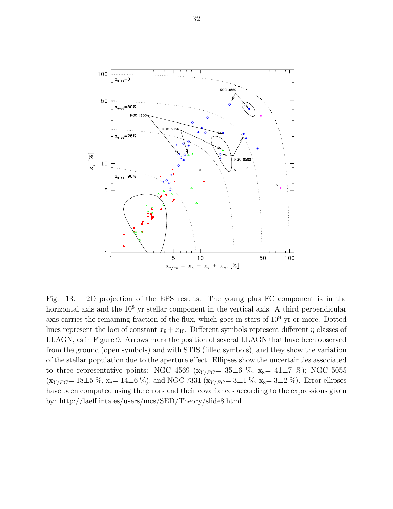

Fig. 13.— 2D projection of the EPS results. The young plus FC component is in the horizontal axis and the  $10^8$  yr stellar component in the vertical axis. A third perpendicular axis carries the remaining fraction of the flux, which goes in stars of  $10<sup>9</sup>$  yr or more. Dotted lines represent the loci of constant  $x_9 + x_{10}$ . Different symbols represent different  $\eta$  classes of LLAGN, as in Figure 9. Arrows mark the position of several LLAGN that have been observed from the ground (open symbols) and with STIS (filled symbols), and they show the variation of the stellar population due to the aperture effect. Ellipses show the uncertainties associated to three representative points: NGC 4569 ( $x_{Y/FC}$  = 35 $\pm$ 6 %,  $x_8$  = 41 $\pm$ 7 %); NGC 5055  $(x_{Y/FC} = 18 \pm 5 \%, x_8 = 14 \pm 6 \%)$ ; and NGC 7331  $(x_{Y/FC} = 3 \pm 1 \%, x_8 = 3 \pm 2 \%)$ . Error ellipses have been computed using the errors and their covariances according to the expressions given by: http://laeff.inta.es/users/mcs/SED/Theory/slide8.html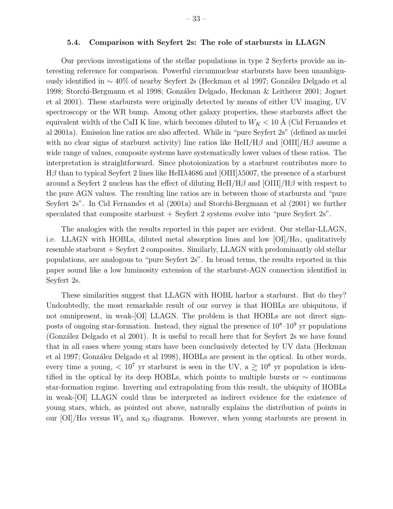## 5.4. Comparison with Seyfert 2s: The role of starbursts in LLAGN

Our previous investigations of the stellar populations in type 2 Seyferts provide an interesting reference for comparison. Powerful circumnuclear starbursts have been unambiguously identified in ~40% of nearby Seyfert 2s (Heckman et al 1997; González Delgado et al 1998; Storchi-Bergmann et al 1998; González Delgado, Heckman & Leitherer 2001; Joguet et al 2001). These starbursts were originally detected by means of either UV imaging, UV spectroscopy or the WR bump. Among other galaxy properties, these starbursts affect the equivalent width of the CaII K line, which becomes diluted to  $W_K < 10$  Å (Cid Fernandes et al 2001a). Emission line ratios are also affected. While in "pure Seyfert 2s" (defined as nuclei with no clear signs of starburst activity) line ratios like HeII/H $\beta$  and [OIII]/H $\beta$  assume a wide range of values, composite systems have systematically lower values of these ratios. The interpretation is straightforward. Since photoionization by a starburst contributes more to Hβ than to typical Seyfert 2 lines like HeIIλ4686 and [OIII]λ5007, the presence of a starburst around a Seyfert 2 nucleus has the effect of diluting  $HeII/H\beta$  and  $[OIII]/H\beta$  with respect to the pure AGN values. The resulting line ratios are in between those of starbursts and "pure Seyfert 2s". In Cid Fernandes et al (2001a) and Storchi-Bergmann et al (2001) we further speculated that composite starburst  $+$  Seyfert 2 systems evolve into "pure Seyfert 2s".

The analogies with the results reported in this paper are evident. Our stellar-LLAGN, i.e. LLAGN with HOBLs, diluted metal absorption lines and low  $[OI]/H\alpha$ , qualitatively resemble starburst + Seyfert 2 composites. Similarly, LLAGN with predominantly old stellar populations, are analogous to "pure Seyfert 2s". In broad terms, the results reported in this paper sound like a low luminosity extension of the starburst-AGN connection identified in Seyfert 2s.

These similarities suggest that LLAGN with HOBL harbor a starburst. But do they? Undoubtedly, the most remarkable result of our survey is that HOBLs are ubiquitous, if not omnipresent, in weak-[OI] LLAGN. The problem is that HOBLs are not direct signposts of ongoing star-formation. Instead, they signal the presence of  $10^8-10^9$  yr populations (González Delgado et al 2001). It is useful to recall here that for Seyfert 2s we have found that in all cases where young stars have been conclusively detected by UV data (Heckman et al 1997; González Delgado et al 1998), HOBLs are present in the optical. In other words, every time a young,  $\langle 10^7 \text{ yr}$  starburst is seen in the UV, a  $\gtrsim 10^8 \text{ yr}$  population is identified in the optical by its deep HOBLs, which points to multiple bursts or  $\sim$  continuous star-formation regime. Inverting and extrapolating from this result, the ubiquity of HOBLs in weak-[OI] LLAGN could thus be interpreted as indirect evidence for the existence of young stars, which, as pointed out above, naturally explains the distribution of points in our [OI]/H $\alpha$  versus  $W_{\lambda}$  and  $x_{\alpha}$  diagrams. However, when young starbursts are present in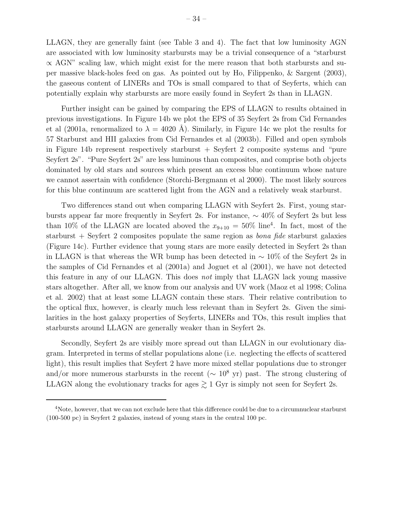LLAGN, they are generally faint (see Table 3 and 4). The fact that low luminosity AGN are associated with low luminosity starbursts may be a trivial consequence of a "starburst  $\propto$  AGN" scaling law, which might exist for the mere reason that both starbursts and super massive black-holes feed on gas. As pointed out by Ho, Filippenko, & Sargent (2003), the gaseous content of LINERs and TOs is small compared to that of Seyferts, which can potentially explain why starbursts are more easily found in Seyfert 2s than in LLAGN.

Further insight can be gained by comparing the EPS of LLAGN to results obtained in previous investigations. In Figure 14b we plot the EPS of 35 Seyfert 2s from Cid Fernandes et al (2001a, renormalized to  $\lambda = 4020$  Å). Similarly, in Figure 14c we plot the results for 57 Starburst and HII galaxies from Cid Fernandes et al (2003b). Filled and open symbols in Figure 14b represent respectively starburst  $+$  Seyfert 2 composite systems and "pure Seyfert 2s". "Pure Seyfert 2s" are less luminous than composites, and comprise both objects dominated by old stars and sources which present an excess blue continuum whose nature we cannot assertain with confidence (Storchi-Bergmann et al 2000). The most likely sources for this blue continuum are scattered light from the AGN and a relatively weak starburst.

Two differences stand out when comparing LLAGN with Seyfert 2s. First, young starbursts appear far more frequently in Seyfert 2s. For instance, ∼ 40% of Seyfert 2s but less than 10% of the LLAGN are located aboved the  $x_{9+10} = 50\%$  line<sup>4</sup>. In fact, most of the starburst + Seyfert 2 composites populate the same region as *bona fide* starburst galaxies (Figure 14c). Further evidence that young stars are more easily detected in Seyfert 2s than in LLAGN is that whereas the WR bump has been detected in  $\sim 10\%$  of the Seyfert 2s in the samples of Cid Fernandes et al (2001a) and Joguet et al (2001), we have not detected this feature in any of our LLAGN. This does not imply that LLAGN lack young massive stars altogether. After all, we know from our analysis and UV work (Maoz et al 1998; Colina et al. 2002) that at least some LLAGN contain these stars. Their relative contribution to the optical flux, however, is clearly much less relevant than in Seyfert 2s. Given the similarities in the host galaxy properties of Seyferts, LINERs and TOs, this result implies that starbursts around LLAGN are generally weaker than in Seyfert 2s.

Secondly, Seyfert 2s are visibly more spread out than LLAGN in our evolutionary diagram. Interpreted in terms of stellar populations alone (i.e. neglecting the effects of scattered light), this result implies that Seyfert 2 have more mixed stellar populations due to stronger and/or more numerous starbursts in the recent ( $\sim 10^8$  yr) past. The strong clustering of LLAGN along the evolutionary tracks for ages  $\gtrsim$  1 Gyr is simply not seen for Seyfert 2s.

<sup>4</sup>Note, however, that we can not exclude here that this difference could be due to a circumnuclear starburst (100-500 pc) in Seyfert 2 galaxies, instead of young stars in the central 100 pc.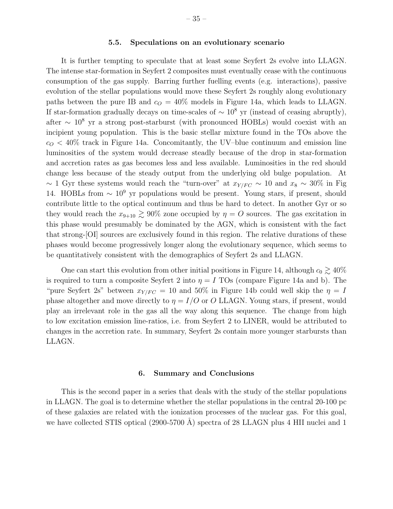## 5.5. Speculations on an evolutionary scenario

It is further tempting to speculate that at least some Seyfert 2s evolve into LLAGN. The intense star-formation in Seyfert 2 composites must eventually cease with the continuous consumption of the gas supply. Barring further fuelling events (e.g. interactions), passive evolution of the stellar populations would move these Seyfert 2s roughly along evolutionary paths between the pure IB and  $c<sub>O</sub> = 40\%$  models in Figure 14a, which leads to LLAGN. If star-formation gradually decays on time-scales of  $\sim 10^8$  yr (instead of ceasing abruptly), after  $\sim 10^8$  yr a strong post-starburst (with pronounced HOBLs) would coexist with an incipient young population. This is the basic stellar mixture found in the TOs above the  $c<sub>O</sub> < 40\%$  track in Figure 14a. Concomitantly, the UV-blue continuum and emission line luminosities of the system would decrease steadly because of the drop in star-formation and accretion rates as gas becomes less and less available. Luminosities in the red should change less because of the steady output from the underlying old bulge population. At ~ 1 Gyr these systems would reach the "turn-over" at  $x_{Y/FC}$  ~ 10 and  $x_8 \sim 30\%$  in Fig 14. HOBLs from  $\sim 10^9$  yr populations would be present. Young stars, if present, should contribute little to the optical continuum and thus be hard to detect. In another Gyr or so they would reach the  $x_{9+10} \gtrsim 90\%$  zone occupied by  $\eta = O$  sources. The gas excitation in this phase would presumably be dominated by the AGN, which is consistent with the fact that strong-[OI] sources are exclusively found in this region. The relative durations of these phases would become progressively longer along the evolutionary sequence, which seems to be quantitatively consistent with the demographics of Seyfert 2s and LLAGN.

One can start this evolution from other initial positions in Figure 14, although  $c_0 \gtrsim 40\%$ is required to turn a composite Seyfert 2 into  $\eta = I$  TOs (compare Figure 14a and b). The "pure Seyfert 2s" between  $x_{Y/FC} = 10$  and 50% in Figure 14b could well skip the  $\eta = I$ phase altogether and move directly to  $\eta = I/O$  or O LLAGN. Young stars, if present, would play an irrelevant role in the gas all the way along this sequence. The change from high to low excitation emission line-ratios, i.e. from Seyfert 2 to LINER, would be attributed to changes in the accretion rate. In summary, Seyfert 2s contain more younger starbursts than LLAGN.

## 6. Summary and Conclusions

This is the second paper in a series that deals with the study of the stellar populations in LLAGN. The goal is to determine whether the stellar populations in the central 20-100 pc of these galaxies are related with the ionization processes of the nuclear gas. For this goal, we have collected STIS optical  $(2900-5700 \text{ Å})$  spectra of 28 LLAGN plus 4 HII nuclei and 1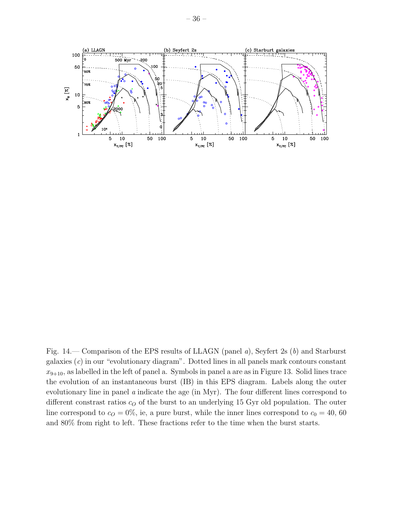

Fig. 14.— Comparison of the EPS results of LLAGN (panel a), Seyfert 2s (b) and Starburst galaxies  $(c)$  in our "evolutionary diagram". Dotted lines in all panels mark contours constant  $x_{9+10}$ , as labelled in the left of panel a. Symbols in panel a are as in Figure 13. Solid lines trace the evolution of an instantaneous burst (IB) in this EPS diagram. Labels along the outer evolutionary line in panel a indicate the age (in Myr). The four different lines correspond to different constrast ratios  $c<sub>O</sub>$  of the burst to an underlying 15 Gyr old population. The outer line correspond to  $c_0 = 0\%$ , ie, a pure burst, while the inner lines correspond to  $c_0 = 40, 60$ and 80% from right to left. These fractions refer to the time when the burst starts.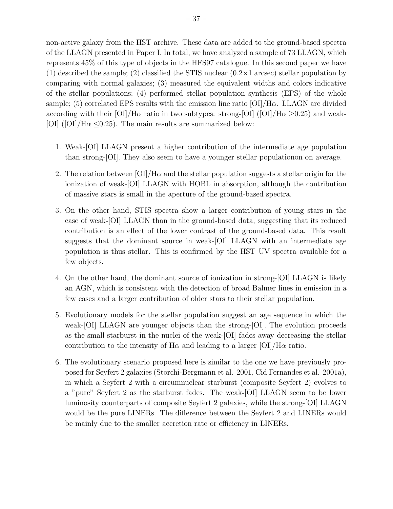non-active galaxy from the HST archive. These data are added to the ground-based spectra of the LLAGN presented in Paper I. In total, we have analyzed a sample of 73 LLAGN, which represents 45% of this type of objects in the HFS97 catalogue. In this second paper we have (1) described the sample; (2) classified the STIS nuclear  $(0.2 \times 1 \text{ arcsec})$  stellar population by comparing with normal galaxies; (3) measured the equivalent widths and colors indicative of the stellar populations; (4) performed stellar population synthesis (EPS) of the whole sample; (5) correlated EPS results with the emission line ratio  $\text{[OI]/H}\alpha$ . LLAGN are divided according with their  $\text{[OI]/H}\alpha$  ratio in two subtypes: strong- $\text{[OI]/H}\alpha$  >0.25) and weak-[OI] ([OI]/H $\alpha$  <0.25). The main results are summarized below:

- 1. Weak-[OI] LLAGN present a higher contribution of the intermediate age population than strong-[OI]. They also seem to have a younger stellar populationon on average.
- 2. The relation between  $[OI]/H\alpha$  and the stellar population suggests a stellar origin for the ionization of weak-[OI] LLAGN with HOBL in absorption, although the contribution of massive stars is small in the aperture of the ground-based spectra.
- 3. On the other hand, STIS spectra show a larger contribution of young stars in the case of weak-[OI] LLAGN than in the ground-based data, suggesting that its reduced contribution is an effect of the lower contrast of the ground-based data. This result suggests that the dominant source in weak-[OI] LLAGN with an intermediate age population is thus stellar. This is confirmed by the HST UV spectra available for a few objects.
- 4. On the other hand, the dominant source of ionization in strong-[OI] LLAGN is likely an AGN, which is consistent with the detection of broad Balmer lines in emission in a few cases and a larger contribution of older stars to their stellar population.
- 5. Evolutionary models for the stellar population suggest an age sequence in which the weak-[OI] LLAGN are younger objects than the strong-[OI]. The evolution proceeds as the small starburst in the nuclei of the weak-[OI] fades away decreasing the stellar contribution to the intensity of  $H\alpha$  and leading to a larger  $\left[O I\right] / H\alpha$  ratio.
- 6. The evolutionary scenario proposed here is similar to the one we have previously proposed for Seyfert 2 galaxies (Storchi-Bergmann et al. 2001, Cid Fernandes et al. 2001a), in which a Seyfert 2 with a circumnuclear starburst (composite Seyfert 2) evolves to a "pure" Seyfert 2 as the starburst fades. The weak-[OI] LLAGN seem to be lower luminosity counterparts of composite Seyfert 2 galaxies, while the strong-[OI] LLAGN would be the pure LINERs. The difference between the Seyfert 2 and LINERs would be mainly due to the smaller accretion rate or efficiency in LINERs.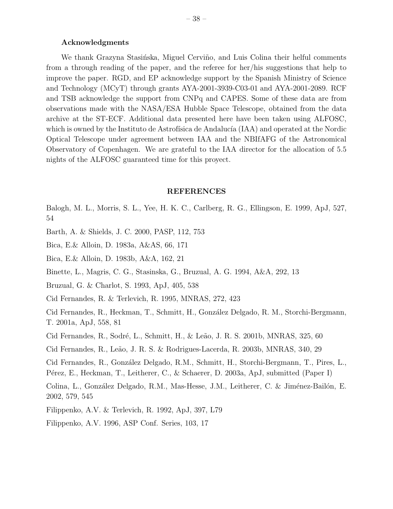## Acknowledgments

We thank Grazyna Stasińska, Miguel Cerviño, and Luis Colina their helful comments from a through reading of the paper, and the referee for her/his suggestions that help to improve the paper. RGD, and EP acknowledge support by the Spanish Ministry of Science and Technology (MCyT) through grants AYA-2001-3939-C03-01 and AYA-2001-2089. RCF and TSB acknowledge the support from CNPq and CAPES. Some of these data are from observations made with the NASA/ESA Hubble Space Telescope, obtained from the data archive at the ST-ECF. Additional data presented here have been taken using ALFOSC, which is owned by the Instituto de Astrofísica de Andalucía (IAA) and operated at the Nordic Optical Telescope under agreement between IAA and the NBIfAFG of the Astronomical Observatory of Copenhagen. We are grateful to the IAA director for the allocation of 5.5 nights of the ALFOSC guaranteed time for this proyect.

## REFERENCES

Balogh, M. L., Morris, S. L., Yee, H. K. C., Carlberg, R. G., Ellingson, E. 1999, ApJ, 527, 54

- Barth, A. & Shields, J. C. 2000, PASP, 112, 753
- Bica, E.& Alloin, D. 1983a, A&AS, 66, 171
- Bica, E.& Alloin, D. 1983b, A&A, 162, 21
- Binette, L., Magris, C. G., Stasinska, G., Bruzual, A. G. 1994, A&A, 292, 13
- Bruzual, G. & Charlot, S. 1993, ApJ, 405, 538
- Cid Fernandes, R. & Terlevich, R. 1995, MNRAS, 272, 423
- Cid Fernandes, R., Heckman, T., Schmitt, H., González Delgado, R. M., Storchi-Bergmann, T. 2001a, ApJ, 558, 81
- Cid Fernandes, R., Sodré, L., Schmitt, H., & Leão, J. R. S. 2001b, MNRAS, 325, 60
- Cid Fernandes, R., Le˜ao, J. R. S. & Rodrigues-Lacerda, R. 2003b, MNRAS, 340, 29
- Cid Fernandes, R., González Delgado, R.M., Schmitt, H., Storchi-Bergmann, T., Pires, L., Pérez, E., Heckman, T., Leitherer, C., & Schaerer, D. 2003a, ApJ, submitted (Paper I)
- Colina, L., González Delgado, R.M., Mas-Hesse, J.M., Leitherer, C. & Jiménez-Bailón, E. 2002, 579, 545
- Filippenko, A.V. & Terlevich, R. 1992, ApJ, 397, L79
- Filippenko, A.V. 1996, ASP Conf. Series, 103, 17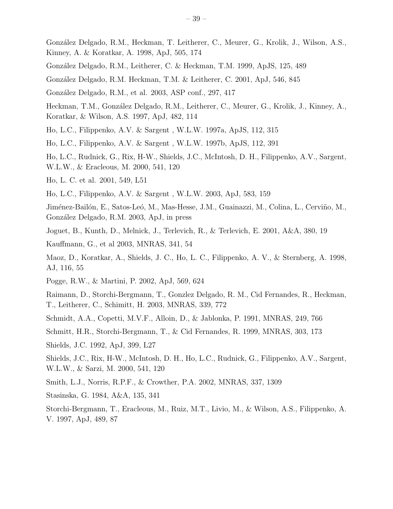Gonz´alez Delgado, R.M., Heckman, T. Leitherer, C., Meurer, G., Krolik, J., Wilson, A.S., Kinney, A. & Koratkar, A. 1998, ApJ, 505, 174

- Gonz´alez Delgado, R.M., Leitherer, C. & Heckman, T.M. 1999, ApJS, 125, 489
- Gonz´alez Delgado, R.M. Heckman, T.M. & Leitherer, C. 2001, ApJ, 546, 845
- Gonz´alez Delgado, R.M., et al. 2003, ASP conf., 297, 417
- Heckman, T.M., González Delgado, R.M., Leitherer, C., Meurer, G., Krolik, J., Kinney, A., Koratkar, & Wilson, A.S. 1997, ApJ, 482, 114
- Ho, L.C., Filippenko, A.V. & Sargent , W.L.W. 1997a, ApJS, 112, 315
- Ho, L.C., Filippenko, A.V. & Sargent , W.L.W. 1997b, ApJS, 112, 391
- Ho, L.C., Rudnick, G., Rix, H-W., Shields, J.C., McIntosh, D. H., Filippenko, A.V., Sargent, W.L.W., & Eracleous, M. 2000, 541, 120
- Ho, L. C. et al. 2001, 549, L51
- Ho, L.C., Filippenko, A.V. & Sargent , W.L.W. 2003, ApJ, 583, 159
- Jiménez-Bailón, E., Satos-Leó, M., Mas-Hesse, J.M., Guainazzi, M., Colina, L., Cerviño, M., Gonz´alez Delgado, R.M. 2003, ApJ, in press
- Joguet, B., Kunth, D., Melnick, J., Terlevich, R., & Terlevich, E. 2001, A&A, 380, 19
- Kauffmann, G., et al 2003, MNRAS, 341, 54
- Maoz, D., Koratkar, A., Shields, J. C., Ho, L. C., Filippenko, A. V., & Sternberg, A. 1998, AJ, 116, 55
- Pogge, R.W., & Martini, P. 2002, ApJ, 569, 624
- Raimann, D., Storchi-Bergmann, T., Gonzlez Delgado, R. M., Cid Fernandes, R., Heckman, T., Leitherer, C., Schimitt, H. 2003, MNRAS, 339, 772
- Schmidt, A.A., Copetti, M.V.F., Alloin, D., & Jablonka, P. 1991, MNRAS, 249, 766
- Schmitt, H.R., Storchi-Bergmann, T., & Cid Fernandes, R. 1999, MNRAS, 303, 173
- Shields, J.C. 1992, ApJ, 399, L27
- Shields, J.C., Rix, H-W., McIntosh, D. H., Ho, L.C., Rudnick, G., Filippenko, A.V., Sargent, W.L.W., & Sarzi, M. 2000, 541, 120
- Smith, L.J., Norris, R.P.F., & Crowther, P.A. 2002, MNRAS, 337, 1309
- Stasinska, G. 1984, A&A, 135, 341

Storchi-Bergmann, T., Eracleous, M., Ruiz, M.T., Livio, M., & Wilson, A.S., Filippenko, A. V. 1997, ApJ, 489, 87